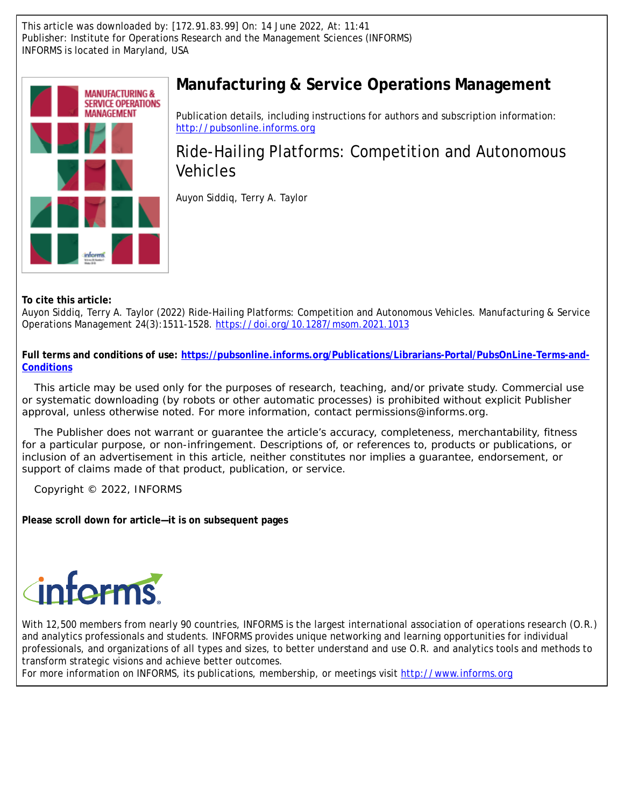This article was downloaded by: [172.91.83.99] On: 14 June 2022, At: 11:41 Publisher: Institute for Operations Research and the Management Sciences (INFORMS) INFORMS is located in Maryland, USA



# **Manufacturing & Service Operations Management**

Publication details, including instructions for authors and subscription information: <http://pubsonline.informs.org>

# Ride-Hailing Platforms: Competition and Autonomous Vehicles

Auyon Siddiq, Terry A. Taylor

**To cite this article:**

Auyon Siddiq, Terry A. Taylor (2022) Ride-Hailing Platforms: Competition and Autonomous Vehicles. Manufacturing & Service Operations Management 24(3):1511-1528. <https://doi.org/10.1287/msom.2021.1013>

**Full terms and conditions of use: [https://pubsonline.informs.org/Publications/Librarians-Portal/PubsOnLine-Terms-and-](https://pubsonline.informs.org/Publications/Librarians-Portal/PubsOnLine-Terms-and-Conditions)[Conditions](https://pubsonline.informs.org/Publications/Librarians-Portal/PubsOnLine-Terms-and-Conditions)**

This article may be used only for the purposes of research, teaching, and/or private study. Commercial use or systematic downloading (by robots or other automatic processes) is prohibited without explicit Publisher approval, unless otherwise noted. For more information, contact permissions@informs.org.

The Publisher does not warrant or guarantee the article's accuracy, completeness, merchantability, fitness for a particular purpose, or non-infringement. Descriptions of, or references to, products or publications, or inclusion of an advertisement in this article, neither constitutes nor implies a guarantee, endorsement, or support of claims made of that product, publication, or service.

Copyright © 2022, INFORMS

**Please scroll down for article—it is on subsequent pages**



With 12,500 members from nearly 90 countries, INFORMS is the largest international association of operations research (O.R.) and analytics professionals and students. INFORMS provides unique networking and learning opportunities for individual professionals, and organizations of all types and sizes, to better understand and use O.R. and analytics tools and methods to transform strategic visions and achieve better outcomes.

For more information on INFORMS, its publications, membership, or meetings visit <http://www.informs.org>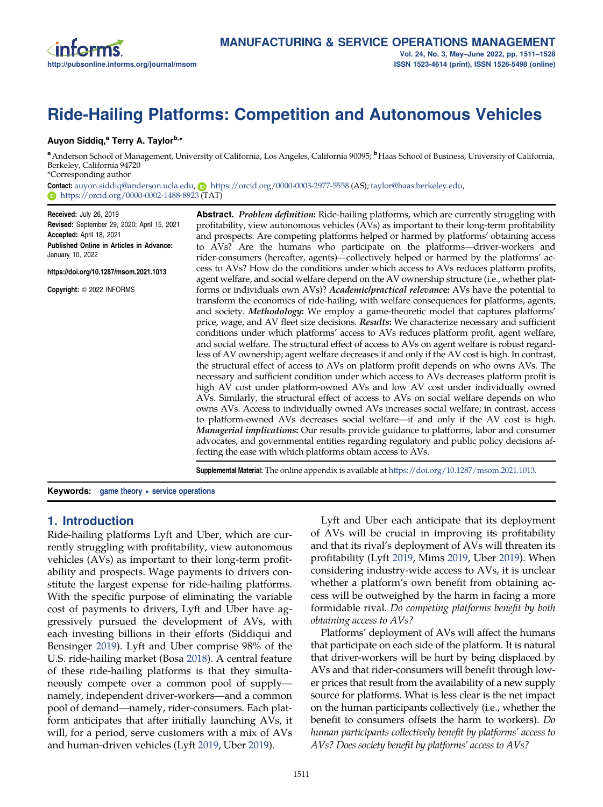# <span id="page-1-0"></span>Ride-Hailing Platforms: Competition and Autonomous Vehicles

## Auyon Siddiq,<sup>a</sup> Terry A. Taylor<sup>b,\*</sup>

a Anderson School of Management, University of California, Los Angeles, California 90095; **b**Haas School of Business, University of California, Berkeley, California 94720 \*Corresponding author

Contact: [auyon.siddiq@anderson.ucla.edu,](mailto:auyon.siddiq@anderson.ucla.edu) n <https://orcid.org/0000-0003-2977-5558> (AS); [taylor@haas.berkeley.edu,](mailto:taylor@haas.berkeley.edu) **<https://orcid.org/0000-0002-1488-8923> (TAT)** 

Received: July 26, 2019 Revised: September 29, 2020; April 15, 2021 Accepted: April 18, 2021 Published Online in Articles in Advance: January 10, 2022

https://doi.org/10.1287/msom.2021.1013

Copyright: © 2022 INFORMS

**Abstract.** Problem definition: Ride-hailing platforms, which are currently struggling with profitability, view autonomous vehicles (AVs) as important to their long-term profitability and prospects. Are competing platforms helped or harmed by platforms' obtaining access to AVs? Are the humans who participate on the platforms—driver-workers and rider-consumers (hereafter, agents)—collectively helped or harmed by the platforms' access to AVs? How do the conditions under which access to AVs reduces platform profits, agent welfare, and social welfare depend on the AV ownership structure (i.e., whether platforms or individuals own AVs)? *Academic/practical relevance*: AVs have the potential to transform the economics of ride-hailing, with welfare consequences for platforms, agents, and society. Methodology: We employ a game-theoretic model that captures platforms' price, wage, and AV fleet size decisions. Results: We characterize necessary and sufficient conditions under which platforms' access to AVs reduces platform profit, agent welfare, and social welfare. The structural effect of access to AVs on agent welfare is robust regardless of AV ownership; agent welfare decreases if and only if the AV cost is high. In contrast, the structural effect of access to AVs on platform profit depends on who owns AVs. The necessary and sufficient condition under which access to AVs decreases platform profit is high AV cost under platform-owned AVs and low AV cost under individually owned AVs. Similarly, the structural effect of access to AVs on social welfare depends on who owns AVs. Access to individually owned AVs increases social welfare; in contrast, access to platform-owned AVs decreases social welfare—if and only if the AV cost is high. Managerial implications: Our results provide guidance to platforms, labor and consumer advocates, and governmental entities regarding regulatory and public policy decisions affecting the ease with which platforms obtain access to AVs.

Supplemental Material: The online appendix is available at [https://doi.org/10.1287/msom.2021.1013.](https://doi.org/10.1287/msom.2021.1013)

Keywords: game theory • service operations

# 1. Introduction

Ride-hailing platforms Lyft and Uber, which are currently struggling with profitability, view autonomous vehicles (AVs) as important to their long-term profitability and prospects. Wage payments to drivers constitute the largest expense for ride-hailing platforms. With the specific purpose of eliminating the variable cost of payments to drivers, Lyft and Uber have aggressively pursued the development of AVs, with each investing billions in their efforts (Siddiqui and Bensinger [2019](#page-18-0)). Lyft and Uber comprise 98% of the U.S. ride-hailing market (Bosa [2018](#page-18-0)). A central feature of these ride-hailing platforms is that they simultaneously compete over a common pool of supply namely, independent driver-workers—and a common pool of demand—namely, rider-consumers. Each platform anticipates that after initially launching AVs, it will, for a period, serve customers with a mix of AVs and human-driven vehicles (Lyft [2019,](#page-18-0) Uber [2019\)](#page-18-0).

Lyft and Uber each anticipate that its deployment of AVs will be crucial in improving its profitability and that its rival's deployment of AVs will threaten its profitability (Lyft [2019,](#page-18-0) Mims [2019,](#page-18-0) Uber [2019](#page-18-0)). When considering industry-wide access to AVs, it is unclear whether a platform's own benefit from obtaining access will be outweighed by the harm in facing a more formidable rival. Do competing platforms benefit by both obtaining access to AVs?

Platforms' deployment of AVs will affect the humans that participate on each side of the platform. It is natural that driver-workers will be hurt by being displaced by AVs and that rider-consumers will benefit through lower prices that result from the availability of a new supply source for platforms. What is less clear is the net impact on the human participants collectively (i.e., whether the benefit to consumers offsets the harm to workers). Do human participants collectively benefit by platforms' access to AVs? Does society benefit by platforms' access to AVs?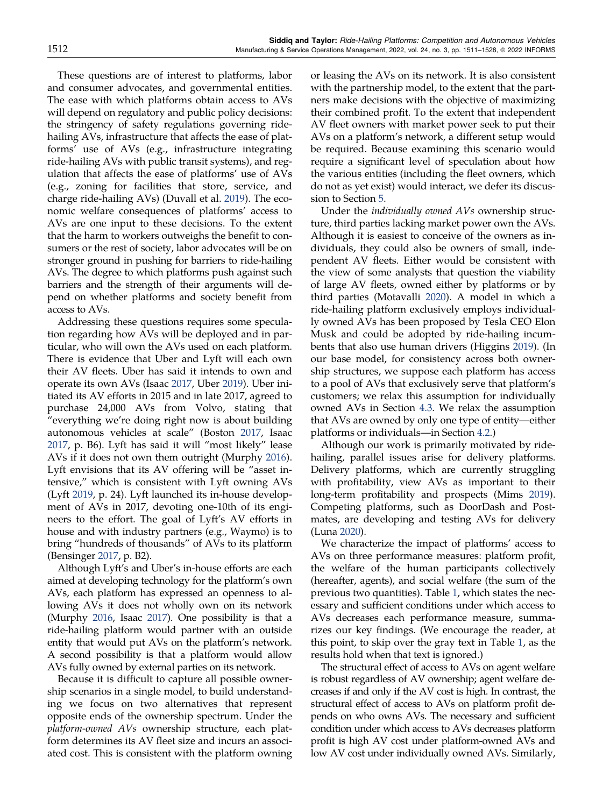These questions are of interest to platforms, labor and consumer advocates, and governmental entities. The ease with which platforms obtain access to AVs will depend on regulatory and public policy decisions: the stringency of safety regulations governing ridehailing AVs, infrastructure that affects the ease of platforms' use of AVs (e.g., infrastructure integrating ride-hailing AVs with public transit systems), and regulation that affects the ease of platforms' use of AVs (e.g., zoning for facilities that store, service, and charge ride-hailing AVs) (Duvall et al. [2019](#page-18-0)). The economic welfare consequences of platforms' access to AVs are one input to these decisions. To the extent that the harm to workers outweighs the benefit to consumers or the rest of society, labor advocates will be on stronger ground in pushing for barriers to ride-hailing AVs. The degree to which platforms push against such barriers and the strength of their arguments will depend on whether platforms and society benefit from access to AVs.

Addressing these questions requires some speculation regarding how AVs will be deployed and in particular, who will own the AVs used on each platform. There is evidence that Uber and Lyft will each own their AV fleets. Uber has said it intends to own and operate its own AVs (Isaac [2017](#page-18-0), Uber [2019\)](#page-18-0). Uber initiated its AV efforts in 2015 and in late 2017, agreed to purchase 24,000 AVs from Volvo, stating that "everything we're doing right now is about building autonomous vehicles at scale" (Boston [2017](#page-18-0), Isaac [2017,](#page-18-0) p. B6). Lyft has said it will "most likely" lease AVs if it does not own them outright (Murphy [2016\)](#page-18-0). Lyft envisions that its AV offering will be "asset intensive," which is consistent with Lyft owning AVs (Lyft [2019](#page-18-0), p. 24). Lyft launched its in-house development of AVs in 2017, devoting one-10th of its engineers to the effort. The goal of Lyft's AV efforts in house and with industry partners (e.g., Waymo) is to bring "hundreds of thousands" of AVs to its platform (Bensinger [2017,](#page-17-0) p. B2).

Although Lyft's and Uber's in-house efforts are each aimed at developing technology for the platform's own AVs, each platform has expressed an openness to allowing AVs it does not wholly own on its network (Murphy [2016](#page-18-0), Isaac [2017](#page-18-0)). One possibility is that a ride-hailing platform would partner with an outside entity that would put AVs on the platform's network. A second possibility is that a platform would allow AVs fully owned by external parties on its network.

Because it is difficult to capture all possible ownership scenarios in a single model, to build understanding we focus on two alternatives that represent opposite ends of the ownership spectrum. Under the platform-owned AVs ownership structure, each platform determines its AV fleet size and incurs an associated cost. This is consistent with the platform owning

or leasing the AVs on its network. It is also consistent with the partnership model, to the extent that the partners make decisions with the objective of maximizing their combined profit. To the extent that independent AV fleet owners with market power seek to put their AVs on a platform's network, a different setup would be required. Because examining this scenario would require a significant level of speculation about how the various entities (including the fleet owners, which do not as yet exist) would interact, we defer its discussion to Section [5](#page-12-0).

Under the individually owned AVs ownership structure, third parties lacking market power own the AVs. Although it is easiest to conceive of the owners as individuals, they could also be owners of small, independent AV fleets. Either would be consistent with the view of some analysts that question the viability of large AV fleets, owned either by platforms or by third parties (Motavalli [2020\)](#page-18-0). A model in which a ride-hailing platform exclusively employs individually owned AVs has been proposed by Tesla CEO Elon Musk and could be adopted by ride-hailing incumbents that also use human drivers (Higgins [2019\)](#page-18-0). (In our base model, for consistency across both ownership structures, we suppose each platform has access to a pool of AVs that exclusively serve that platform's customers; we relax this assumption for individually owned AVs in Section [4.3](#page-11-0). We relax the assumption that AVs are owned by only one type of entity—either platforms or individuals—in Section [4.2](#page-11-0).)

Although our work is primarily motivated by ridehailing, parallel issues arise for delivery platforms. Delivery platforms, which are currently struggling with profitability, view AVs as important to their long-term profitability and prospects (Mims [2019](#page-18-0)). Competing platforms, such as DoorDash and Postmates, are developing and testing AVs for delivery (Luna [2020\)](#page-18-0).

We characterize the impact of platforms' access to AVs on three performance measures: platform profit, the welfare of the human participants collectively (hereafter, agents), and social welfare (the sum of the previous two quantities). Table [1,](#page-3-0) which states the necessary and sufficient conditions under which access to AVs decreases each performance measure, summarizes our key findings. (We encourage the reader, at this point, to skip over the gray text in Table [1,](#page-3-0) as the results hold when that text is ignored.)

The structural effect of access to AVs on agent welfare is robust regardless of AV ownership; agent welfare decreases if and only if the AV cost is high. In contrast, the structural effect of access to AVs on platform profit depends on who owns AVs. The necessary and sufficient condition under which access to AVs decreases platform profit is high AV cost under platform-owned AVs and low AV cost under individually owned AVs. Similarly,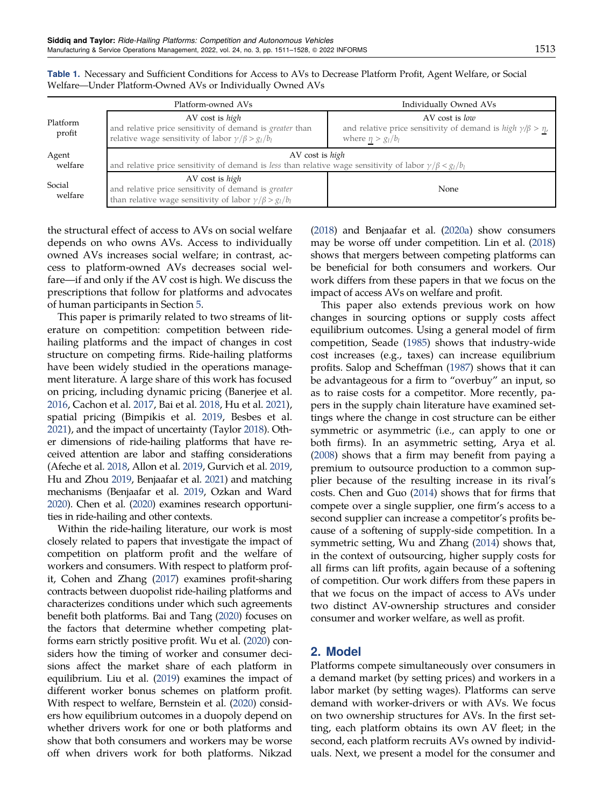|                    | Platform-owned AVs                                                                                                                                | Individually Owned AVs                                                                                               |
|--------------------|---------------------------------------------------------------------------------------------------------------------------------------------------|----------------------------------------------------------------------------------------------------------------------|
| Platform<br>profit | AV cost is high<br>and relative price sensitivity of demand is <i>greater</i> than<br>relative wage sensitivity of labor $\gamma/\beta > g_l/b_l$ | AV cost is low<br>and relative price sensitivity of demand is $high \gamma/\beta > \eta$ ,<br>where $\eta > g_l/b_l$ |
| Agent<br>welfare   | AV cost is high<br>and relative price sensitivity of demand is less than relative wage sensitivity of labor $\gamma/\beta < g_1/b_1$              |                                                                                                                      |
| Social<br>welfare  | AV cost is high<br>and relative price sensitivity of demand is greater<br>than relative wage sensitivity of labor $\gamma/\beta > g_l/b_l$        | None                                                                                                                 |

<span id="page-3-0"></span>Table 1. Necessary and Sufficient Conditions for Access to AVs to Decrease Platform Profit, Agent Welfare, or Social Welfare—Under Platform-Owned AVs or Individually Owned AVs

the structural effect of access to AVs on social welfare depends on who owns AVs. Access to individually owned AVs increases social welfare; in contrast, access to platform-owned AVs decreases social welfare—if and only if the AV cost is high. We discuss the prescriptions that follow for platforms and advocates of human participants in Section [5](#page-12-0).

This paper is primarily related to two streams of literature on competition: competition between ridehailing platforms and the impact of changes in cost structure on competing firms. Ride-hailing platforms have been widely studied in the operations management literature. A large share of this work has focused on pricing, including dynamic pricing (Banerjee et al. [2016,](#page-17-0) Cachon et al. [2017](#page-18-0), Bai et al. [2018](#page-17-0), Hu et al. [2021\)](#page-18-0), spatial pricing (Bimpikis et al. [2019,](#page-18-0) Besbes et al. [2021\)](#page-18-0), and the impact of uncertainty (Taylor [2018\)](#page-18-0). Other dimensions of ride-hailing platforms that have received attention are labor and staffing considerations (Afeche et al. [2018](#page-17-0), Allon et al. [2019,](#page-17-0) Gurvich et al. [2019,](#page-18-0) Hu and Zhou [2019,](#page-18-0) Benjaafar et al. [2021\)](#page-17-0) and matching mechanisms (Benjaafar et al. [2019,](#page-17-0) Ozkan and Ward [2020](#page-18-0)). Chen et al. ([2020\)](#page-18-0) examines research opportunities in ride-hailing and other contexts.

Within the ride-hailing literature, our work is most closely related to papers that investigate the impact of competition on platform profit and the welfare of workers and consumers. With respect to platform profit, Cohen and Zhang ([2017](#page-18-0)) examines profit-sharing contracts between duopolist ride-hailing platforms and characterizes conditions under which such agreements benefit both platforms. Bai and Tang [\(2020\)](#page-17-0) focuses on the factors that determine whether competing platforms earn strictly positive profit. Wu et al. [\(2020\)](#page-18-0) considers how the timing of worker and consumer decisions affect the market share of each platform in equilibrium. Liu et al. ([2019](#page-18-0)) examines the impact of different worker bonus schemes on platform profit. With respect to welfare, Bernstein et al. [\(2020](#page-18-0)) considers how equilibrium outcomes in a duopoly depend on whether drivers work for one or both platforms and show that both consumers and workers may be worse off when drivers work for both platforms. Nikzad ([2018](#page-18-0)) and Benjaafar et al. [\(2020a](#page-17-0)) show consumers may be worse off under competition. Lin et al. [\(2018\)](#page-18-0) shows that mergers between competing platforms can be beneficial for both consumers and workers. Our work differs from these papers in that we focus on the impact of access AVs on welfare and profit.

This paper also extends previous work on how changes in sourcing options or supply costs affect equilibrium outcomes. Using a general model of firm competition, Seade ([1985](#page-18-0)) shows that industry-wide cost increases (e.g., taxes) can increase equilibrium profits. Salop and Scheffman [\(1987](#page-18-0)) shows that it can be advantageous for a firm to "overbuy" an input, so as to raise costs for a competitor. More recently, papers in the supply chain literature have examined settings where the change in cost structure can be either symmetric or asymmetric (i.e., can apply to one or both firms). In an asymmetric setting, Arya et al. ([2008\)](#page-17-0) shows that a firm may benefit from paying a premium to outsource production to a common supplier because of the resulting increase in its rival's costs. Chen and Guo [\(2014](#page-18-0)) shows that for firms that compete over a single supplier, one firm's access to a second supplier can increase a competitor's profits because of a softening of supply-side competition. In a symmetric setting, Wu and Zhang ([2014](#page-18-0)) shows that, in the context of outsourcing, higher supply costs for all firms can lift profits, again because of a softening of competition. Our work differs from these papers in that we focus on the impact of access to AVs under two distinct AV-ownership structures and consider consumer and worker welfare, as well as profit.

# 2. Model

Platforms compete simultaneously over consumers in a demand market (by setting prices) and workers in a labor market (by setting wages). Platforms can serve demand with worker-drivers or with AVs. We focus on two ownership structures for AVs. In the first setting, each platform obtains its own AV fleet; in the second, each platform recruits AVs owned by individuals. Next, we present a model for the consumer and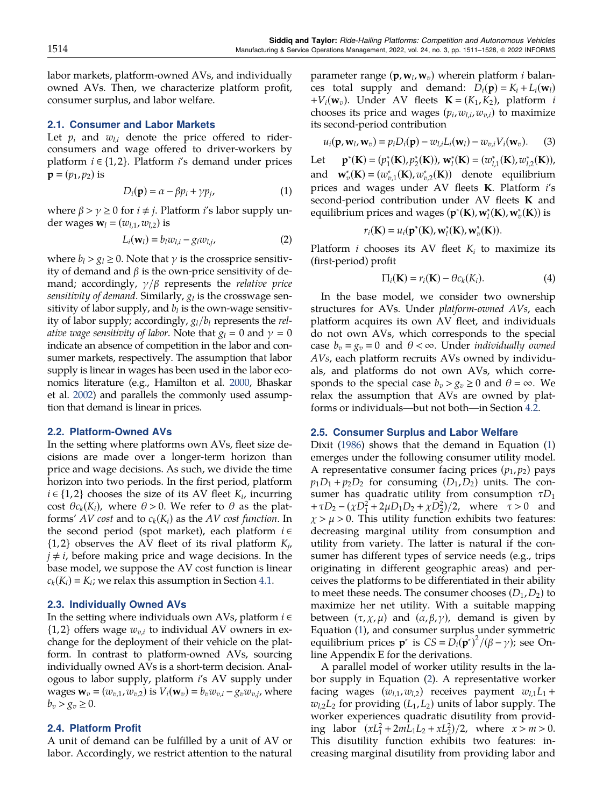<span id="page-4-0"></span>labor markets, platform-owned AVs, and individually owned AVs. Then, we characterize platform profit, consumer surplus, and labor welfare.

#### 2.1. Consumer and Labor Markets

Let  $p_i$  and  $w_{l,i}$  denote the price offered to riderconsumers and wage offered to driver-workers by platform  $i \in \{1, 2\}$ . Platform  $i$ 's demand under prices  ${\bf p} = (p_1, p_2)$  is

$$
D_i(\mathbf{p}) = \alpha - \beta p_i + \gamma p_j,\tag{1}
$$

where  $\beta > \gamma \geq 0$  for  $i \neq j$ . Platform i's labor supply under wages  $\mathbf{w}_l = (w_{l,1}, w_{l,2})$  is

$$
L_i(\mathbf{w}_l) = b_l w_{l,i} - g_l w_{l,j}, \qquad (2)
$$

where  $b_l > g_l \geq 0$ . Note that  $\gamma$  is the crossprice sensitivity of demand and  $β$  is the own-price sensitivity of demand; accordingly,  $\gamma/\beta$  represents the *relative price* sensitivity of demand. Similarly,  $g_l$  is the crosswage sensitivity of labor supply, and  $b_l$  is the own-wage sensitivity of labor supply; accordingly,  $g_l/b_l$  represents the relative wage sensitivity of labor. Note that  $g_l = 0$  and  $\gamma = 0$ indicate an absence of competition in the labor and consumer markets, respectively. The assumption that labor supply is linear in wages has been used in the labor economics literature (e.g., Hamilton et al. [2000,](#page-18-0) Bhaskar et al. [2002](#page-18-0)) and parallels the commonly used assumption that demand is linear in prices.

#### 2.2. Platform-Owned AVs

In the setting where platforms own AVs, fleet size decisions are made over a longer-term horizon than price and wage decisions. As such, we divide the time horizon into two periods. In the first period, platform  $i \in \{1,2\}$  chooses the size of its AV fleet  $K_i$ , incurring cost  $\theta c_k(K_i)$ , where  $\theta > 0$ . We refer to  $\theta$  as the platforms' AV cost and to  $c_k(K_i)$  as the AV cost function. In the second period (spot market), each platform  $i \in$  $\{1, 2\}$  observes the AV fleet of its rival platform  $K_{ij}$ ,  $j \neq i$ , before making price and wage decisions. In the base model, we suppose the AV cost function is linear  $c_k(K_i) = K_i$ ; we relax this assumption in Section [4.1.](#page-10-0)

## 2.3. Individually Owned AVs

In the setting where individuals own AVs, platform  $i \in$  $\{1, 2\}$  offers wage  $w_{v,i}$  to individual AV owners in exchange for the deployment of their vehicle on the platform. In contrast to platform-owned AVs, sourcing individually owned AVs is a short-term decision. Analogous to labor supply, platform i's AV supply under wages  $\mathbf{w}_v = (w_{v,1},w_{v,2})$  is  $V_i(\mathbf{w}_v) = b_vw_{v,i} - g_vw_{v,i}$ , where  $b_v > g_v \geq 0$ .

#### 2.4. Platform Profit

A unit of demand can be fulfilled by a unit of AV or labor. Accordingly, we restrict attention to the natural parameter range  $(\mathbf{p}, \mathbf{w}_l, \mathbf{w}_v)$  wherein platform *i* balances total supply and demand:  $D_i(\mathbf{p}) = K_i + L_i(\mathbf{w}_i)$  $+V_i(\mathbf{w}_v)$ . Under AV fleets  $\mathbf{K} = (K_1,K_2)$ , platform *i* chooses its price and wages  $(p_i, w_{l,i}, w_{v,i})$  to maximize its second-period contribution

$$
u_i(\mathbf{p}, \mathbf{w}_l, \mathbf{w}_v) = p_i D_i(\mathbf{p}) - w_{l,i} L_i(\mathbf{w}_l) - w_{v,i} V_i(\mathbf{w}_v).
$$
 (3)

 $Let$  $(\mathbf{K}) = (p_1^*(\mathbf{K}), p_2^*(\mathbf{K}))$ ,  $\mathbf{w}_l^*(\mathbf{K}) = (w_{l,1}^*(\mathbf{K}), w_{l,2}^*(\mathbf{K})),$ and  $\mathbf{w}_{v}^{*}(\mathbf{K}) = (w_{v,1}^{*}(\mathbf{K}), w_{v,2}^{*}(\mathbf{K}))$  denote equilibrium prices and wages under AV fleets K. Platform i's second-period contribution under AV fleets K and equilibrium prices and wages  $(\mathbf{p}^*(\mathbf{K}), \mathbf{w}_l^*(\mathbf{K}), \mathbf{w}_v^*(\mathbf{K}))$  is

$$
r_i(\mathbf{K})=u_i(\mathbf{p}^*(\mathbf{K}),\mathbf{w}_l^*(\mathbf{K}),\mathbf{w}_v^*(\mathbf{K})).
$$

Platform *i* chooses its AV fleet  $K_i$  to maximize its (first-period) profit

$$
\Pi_i(\mathbf{K}) = r_i(\mathbf{K}) - \theta c_k(K_i). \tag{4}
$$

In the base model, we consider two ownership structures for AVs. Under platform-owned AVs, each platform acquires its own AV fleet, and individuals do not own AVs, which corresponds to the special case  $b_v = g_v = 0$  and  $\theta < \infty$ . Under *individually owned* AVs, each platform recruits AVs owned by individuals, and platforms do not own AVs, which corresponds to the special case  $b_v > g_v \geq 0$  and  $\theta = \infty$ . We relax the assumption that AVs are owned by platforms or individuals—but not both—in Section [4.2.](#page-11-0)

#### 2.5. Consumer Surplus and Labor Welfare

Dixit ([1986\)](#page-18-0) shows that the demand in Equation (1) emerges under the following consumer utility model. A representative consumer facing prices  $(p_1, p_2)$  pays  $p_1D_1 + p_2D_2$  for consuming  $(D_1, D_2)$  units. The consumer has quadratic utility from consumption  $\tau D_1$ +  $\tau D_2 - (\chi D_1^2 + 2\mu D_1 D_2 + \chi D_2^2)/2$ , where  $\tau > 0$  and  $\chi > \mu > 0$ . This utility function exhibits two features: decreasing marginal utility from consumption and utility from variety. The latter is natural if the consumer has different types of service needs (e.g., trips originating in different geographic areas) and perceives the platforms to be differentiated in their ability to meet these needs. The consumer chooses  $(D_1, D_2)$  to maximize her net utility. With a suitable mapping between  $(\tau, \chi, \mu)$  and  $(\alpha, \beta, \gamma)$ , demand is given by Equation (1), and consumer surplus under symmetric equilibrium prices **p**<sup>\*</sup> is  $CS = D_i(\mathbf{p}^*)^2/(\beta - \gamma)$ ; see Online Appendix E for the derivations.

A parallel model of worker utility results in the labor supply in Equation (2). A representative worker facing wages  $(w_{l,1},w_{l,2})$  receives payment  $w_{l,1}L_1$  +  $w_{12}L_2$  for providing  $(L_1,L_2)$  units of labor supply. The worker experiences quadratic disutility from providing labor  $(xL_1^2 + 2mL_1L_2 + xL_2^2)/2$ , where  $x > m > 0$ . This disutility function exhibits two features: increasing marginal disutility from providing labor and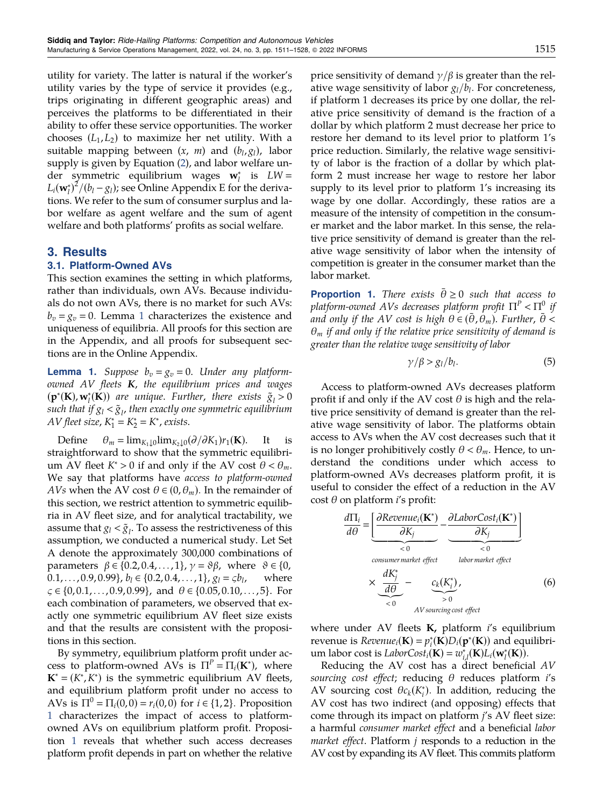<span id="page-5-0"></span>utility for variety. The latter is natural if the worker's utility varies by the type of service it provides (e.g., trips originating in different geographic areas) and perceives the platforms to be differentiated in their ability to offer these service opportunities. The worker chooses  $(L_1, L_2)$  to maximize her net utility. With a suitable mapping between  $(x, m)$  and  $(b_l, g_l)$ , labor supply is given by Equation [\(2](#page-4-0)), and labor welfare under symmetric equilibrium wages  $\mathbf{w}_l^*$  is  $LW =$  $L_i(\mathbf{w}_l^*)^2/ (b_l - g_l)$ ; see Online Appendix E for the derivations. We refer to the sum of consumer surplus and labor welfare as agent welfare and the sum of agent welfare and both platforms' profits as social welfare.

## 3. Results

## 3.1. Platform-Owned AVs

This section examines the setting in which platforms, rather than individuals, own AVs. Because individuals do not own AVs, there is no market for such AVs:  $b_v = g_v = 0$ . Lemma 1 characterizes the existence and uniqueness of equilibria. All proofs for this section are in the Appendix, and all proofs for subsequent sections are in the Online Appendix.

**Lemma 1.** Suppose  $b_v = g_v = 0$ . Under any platformowned  $AV$  fleets  $K$ , the equilibrium prices and wages  $(\mathbf{p}^*(\mathbf{K}), \mathbf{w}_l^*(\mathbf{K}))$  are unique. Further, there exists  $\tilde{g}_l > 0$ such that if  $g_l<\tilde{g}_l$ , then exactly one symmetric equilibrium AV fleet size,  $K_1^* = K_2^* = K^*$ , exists.

Define  $\theta_m = \lim_{K_1 \downarrow 0} \lim_{K_2 \downarrow 0} (\partial / \partial K_1) r_1(\mathbf{K})$ . It is straightforward to show that the symmetric equilibrium AV fleet  $K^* > 0$  if and only if the AV cost  $\theta < \theta_m$ . We say that platforms have access to platform-owned *AVs* when the AV cost  $\theta \in (0, \theta_m)$ . In the remainder of this section, we restrict attention to symmetric equilibria in AV fleet size, and for analytical tractability, we assume that  $g_l < \tilde{g}_l$ . To assess the restrictiveness of this assumption, we conducted a numerical study. Let Set A denote the approximately 300,000 combinations of parameters  $β ∈ {0.2, 0.4, ..., 1}, γ = ∅β$ , where  $θ ∈ {0, 0.1, ..., 0.9, 0.99}, b<sub>l</sub> ∈ {0.2, 0.4, ..., 1}, g<sub>l</sub> = *ξb<sub>l</sub>*$ , where  $0.1,\ldots, 0.9, 0.99\}, b_l \in \{0.2, 0.4,\ldots, 1\}, g_l = \varsigma b_l,$  $\zeta \in \{0, 0.1, \ldots, 0.9, 0.99\}$ , and  $\theta \in \{0.05, 0.10, \ldots, 5\}$ . For each combination of parameters, we observed that exactly one symmetric equilibrium AV fleet size exists and that the results are consistent with the propositions in this section.

By symmetry, equilibrium platform profit under access to platform-owned AVs is  $\Pi^P = \Pi_i(\mathbf{K}^*)$ , where  $\mathbf{K}^* = (K^*, K^*)$  is the symmetric equilibrium AV fleets, and equilibrium platform profit under no access to AVs is  $\Pi^0 = \Pi_i(0, 0) = r_i(0, 0)$  for  $i \in \{1, 2\}$ . Proposition 1 characterizes the impact of access to platformowned AVs on equilibrium platform profit. Proposition 1 reveals that whether such access decreases platform profit depends in part on whether the relative

price sensitivity of demand  $\gamma/\beta$  is greater than the relative wage sensitivity of labor  $g_l/b_l$ . For concreteness, if platform 1 decreases its price by one dollar, the relative price sensitivity of demand is the fraction of a dollar by which platform 2 must decrease her price to restore her demand to its level prior to platform 1's price reduction. Similarly, the relative wage sensitivity of labor is the fraction of a dollar by which platform 2 must increase her wage to restore her labor supply to its level prior to platform 1's increasing its wage by one dollar. Accordingly, these ratios are a measure of the intensity of competition in the consumer market and the labor market. In this sense, the relative price sensitivity of demand is greater than the relative wage sensitivity of labor when the intensity of competition is greater in the consumer market than the labor market.

**Proportion 1.** There exists  $\bar{\theta} \ge 0$  such that access to platform-owned AVs decreases platform profit  $\Pi^P < \Pi^0$  if and only if the AV cost is high  $\theta \in (\theta, \theta_m)$ . Further,  $\theta <$  $\theta_m$  if and only if the relative price sensitivity of demand is greater than the relative wage sensitivity of labor

$$
\gamma/\beta > g_l/b_l. \tag{5}
$$

Access to platform-owned AVs decreases platform profit if and only if the AV cost  $\theta$  is high and the relative price sensitivity of demand is greater than the relative wage sensitivity of labor. The platforms obtain access to AVs when the AV cost decreases such that it is no longer prohibitively costly  $\theta < \theta_m$ . Hence, to understand the conditions under which access to platform-owned AVs decreases platform profit, it is useful to consider the effect of a reduction in the AV cost θ on platform  *profit:* 

$$
\frac{d\Pi_i}{d\theta} = \underbrace{\left[\frac{\partial Revenue_i(\mathbf{K}^*)}{\partial K_j} - \frac{\partial LaborCost_i(\mathbf{K}^*)}{\partial K_j}\right]}_{< 0}
$$
\n
$$
\times \underbrace{\frac{dK_j^*}{d\theta}}_{< 0} - \underbrace{c_k(K_i^*)}_{> 0},
$$
\n(6)

where under AV fleets  $K$ , platform  $i$ 's equilibrium revenue is  $Revenue_i(\mathbf{K}) = p_i^*(\mathbf{K})D_i(\mathbf{p}^*(\mathbf{K}))$  and equilibrium labor cost is *LaborCost<sub>i</sub>*(**K**) =  $w_{i,l}^*(\mathbf{K})L_i(\mathbf{w}_l^*(\mathbf{K}))$ .

Reducing the AV cost has a direct beneficial AV sourcing cost effect; reducing  $\theta$  reduces platform i's AV sourcing cost  $\theta c_k(K_i^*)$ . In addition, reducing the AV cost has two indirect (and opposing) effects that come through its impact on platform j's AV fleet size: a harmful consumer market effect and a beneficial labor *market effect*. Platform  $j$  responds to a reduction in the AV cost by expanding its AV fleet. This commits platform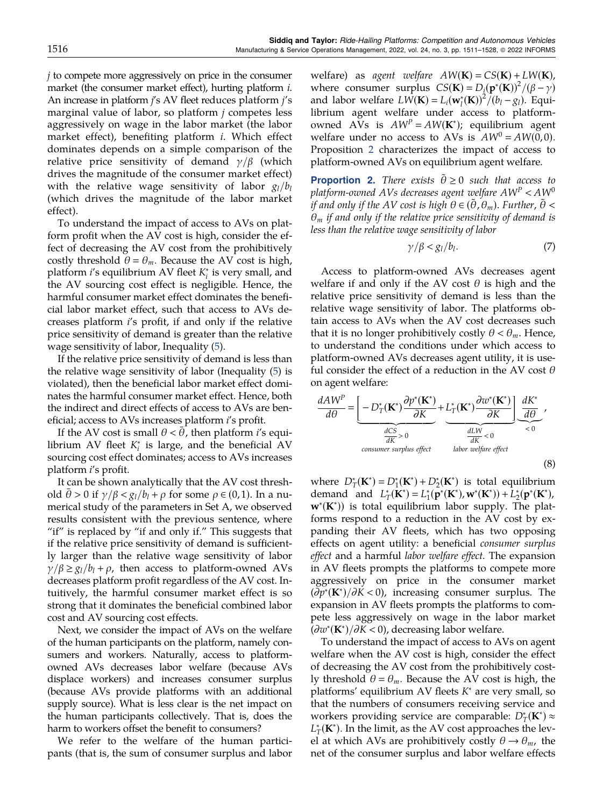<span id="page-6-0"></span>j to compete more aggressively on price in the consumer market (the consumer market effect), hurting platform *i*. An increase in platform j's AV fleet reduces platform j's marginal value of labor, so platform  $j$  competes less aggressively on wage in the labor market (the labor market effect), benefiting platform i. Which effect dominates depends on a simple comparison of the relative price sensitivity of demand  $\gamma/\beta$  (which drives the magnitude of the consumer market effect) with the relative wage sensitivity of labor  $g_l/b_l$ (which drives the magnitude of the labor market effect).

To understand the impact of access to AVs on platform profit when the AV cost is high, consider the effect of decreasing the AV cost from the prohibitively costly threshold  $\theta = \theta_m$ . Because the AV cost is high, platform *i's* equilibrium AV fleet  $K_i^*$  is very small, and the AV sourcing cost effect is negligible. Hence, the harmful consumer market effect dominates the beneficial labor market effect, such that access to AVs decreases platform i's profit, if and only if the relative price sensitivity of demand is greater than the relative wage sensitivity of labor, Inequality [\(5](#page-5-0)).

If the relative price sensitivity of demand is less than the relative wage sensitivity of labor (Inequality [\(5\)](#page-5-0) is violated), then the beneficial labor market effect dominates the harmful consumer market effect. Hence, both the indirect and direct effects of access to AVs are beneficial; access to AVs increases platform i's profit.

If the AV cost is small  $\theta < \theta$ , then platform *i's* equilibrium AV fleet  $K_i^*$  is large, and the beneficial AV sourcing cost effect dominates; access to AVs increases platform i's profit.

It can be shown analytically that the AV cost threshold  $\theta > 0$  if  $\gamma/\beta < g_l/b_l + \rho$  for some  $\rho \in (0, 1)$ . In a numerical study of the parameters in Set A, we observed results consistent with the previous sentence, where "if" is replaced by "if and only if." This suggests that if the relative price sensitivity of demand is sufficiently larger than the relative wage sensitivity of labor  $\gamma/\beta \ge g_l/b_l + \rho$ , then access to platform-owned AVs decreases platform profit regardless of the AV cost. Intuitively, the harmful consumer market effect is so strong that it dominates the beneficial combined labor cost and AV sourcing cost effects.

Next, we consider the impact of AVs on the welfare of the human participants on the platform, namely consumers and workers. Naturally, access to platformowned AVs decreases labor welfare (because AVs displace workers) and increases consumer surplus (because AVs provide platforms with an additional supply source). What is less clear is the net impact on the human participants collectively. That is, does the harm to workers offset the benefit to consumers?

We refer to the welfare of the human participants (that is, the sum of consumer surplus and labor welfare) as agent welfare  $AW(K) = CS(K) + LW(K)$ , where consumer surplus  $CS(K) = D_i(\mathbf{p}^*(K))^2/(\beta - \gamma)$ and labor welfare  $L \hat{W}(\mathbf{K}) = L_i(\mathbf{w}_l^*(\mathbf{K}))^2 / (b_l - g_l)$ . Equilibrium agent welfare under access to platformowned AVs is  $AW^P = AW(K^*)$ ; equilibrium agent welfare under no access to AVs is  $AW^0 = AW(0, 0)$ . Proposition 2 characterizes the impact of access to platform-owned AVs on equilibrium agent welfare.

**Proportion 2.** There exists  $\tilde{\theta} \ge 0$  such that access to platform-owned AVs decreases agent welfare  $AW^p < AW^0$ if and only if the AV cost is high  $\theta \in (\tilde{\theta}, \theta_m)$ . Further,  $\tilde{\theta}$  <  $\theta_m$  if and only if the relative price sensitivity of demand is less than the relative wage sensitivity of labor

$$
\gamma/\beta < g_l/b_l. \tag{7}
$$

Access to platform-owned AVs decreases agent welfare if and only if the AV cost  $\theta$  is high and the relative price sensitivity of demand is less than the relative wage sensitivity of labor. The platforms obtain access to AVs when the AV cost decreases such that it is no longer prohibitively costly  $\theta < \theta_m$ . Hence, to understand the conditions under which access to platform-owned AVs decreases agent utility, it is useful consider the effect of a reduction in the AV cost  $\theta$ on agent welfare:

$$
\frac{dAW^{P}}{d\theta} = \underbrace{\left[-D_{T}^{*}(\mathbf{K}^{*})\frac{\partial p^{*}(\mathbf{K}^{*})}{\partial K}}_{\text{dK}^{*}>0} + \underbrace{L_{T}^{*}(\mathbf{K}^{*})\frac{\partial w^{*}(\mathbf{K}^{*})}{\partial K}}_{\text{dK}^{*}<0}\right] \underbrace{\frac{dK^{*}}{d\theta}}_{\text{cousumer surplus effect}}
$$
\n(8)

where  $D^*_T(\mathbf{K}^*) = D^*_1(\mathbf{K}^*) + D^*_2(\mathbf{K}^*)$  is total equilibrium demand and  $L^*_T(\mathbf{K}^*) = L^*_1(\mathbf{p}^*(\mathbf{K}^*), \mathbf{w}^*(\mathbf{K}^*)) + L^*_2(\mathbf{p}^*(\mathbf{K}^*),$ w<sup>∗</sup> (K<sup>∗</sup> )) is total equilibrium labor supply. The platforms respond to a reduction in the AV cost by expanding their AV fleets, which has two opposing effects on agent utility: a beneficial consumer surplus effect and a harmful labor welfare effect. The expansion in AV fleets prompts the platforms to compete more aggressively on price in the consumer market  $(\partial p^*(\mathbf{K}^*)/\partial K < 0)$ , increasing consumer surplus. The expansion in AV fleets prompts the platforms to compete less aggressively on wage in the labor market  $(\partial w^*(\mathbf{K}^*)/\partial K < 0)$ , decreasing labor welfare.

To understand the impact of access to AVs on agent welfare when the AV cost is high, consider the effect of decreasing the AV cost from the prohibitively costly threshold  $\theta = \theta_m$ . Because the AV cost is high, the platforms' equilibrium AV fleets  $K^*$  are very small, so that the numbers of consumers receiving service and workers providing service are comparable:  $D_T^*(\mathbf{K}^*) \approx$  $L_T^{\ast}(\mathbf{K}^{\ast})$ . In the limit, as the AV cost approaches the level at which AVs are prohibitively costly  $\theta \rightarrow \theta_m$ , the net of the consumer surplus and labor welfare effects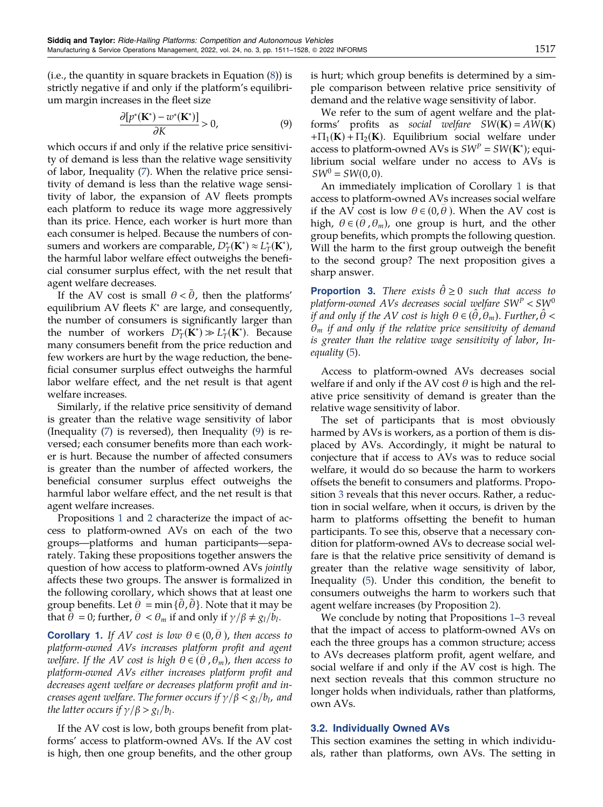<span id="page-7-0"></span>(i.e., the quantity in square brackets in Equation [\(8](#page-6-0))) is strictly negative if and only if the platform's equilibrium margin increases in the fleet size

$$
\frac{\partial [p^*(\mathbf{K}^*) - w^*(\mathbf{K}^*)]}{\partial K} > 0,\tag{9}
$$

which occurs if and only if the relative price sensitivity of demand is less than the relative wage sensitivity of labor, Inequality [\(7](#page-6-0)). When the relative price sensitivity of demand is less than the relative wage sensitivity of labor, the expansion of AV fleets prompts each platform to reduce its wage more aggressively than its price. Hence, each worker is hurt more than each consumer is helped. Because the numbers of consumers and workers are comparable,  $D^*_T(\mathbf{K}^*) \approx L^*_T(\mathbf{K}^*)$ , the harmful labor welfare effect outweighs the beneficial consumer surplus effect, with the net result that agent welfare decreases.

If the AV cost is small  $\theta < \theta$ , then the platforms' equilibrium AV fleets  $K^*$  are large, and consequently, the number of consumers is significantly larger than the number of workers  $D_T^*(\mathbf{K}^*) \gg L_T^*(\mathbf{K}^*)$ . Because many consumers benefit from the price reduction and few workers are hurt by the wage reduction, the beneficial consumer surplus effect outweighs the harmful labor welfare effect, and the net result is that agent welfare increases.

Similarly, if the relative price sensitivity of demand is greater than the relative wage sensitivity of labor (Inequality [\(7](#page-6-0)) is reversed), then Inequality (9) is reversed; each consumer benefits more than each worker is hurt. Because the number of affected consumers is greater than the number of affected workers, the beneficial consumer surplus effect outweighs the harmful labor welfare effect, and the net result is that agent welfare increases.

Propositions [1](#page-5-0) and [2](#page-6-0) characterize the impact of access to platform-owned AVs on each of the two groups—platforms and human participants—separately. Taking these propositions together answers the question of how access to platform-owned AVs jointly affects these two groups. The answer is formalized in the following corollary, which shows that at least one group benefits. Let  $\theta = \min{\{\bar{\theta}, \tilde{\theta}\}}$ . Note that it may be that  $\theta = 0$ ; further,  $\theta < \theta_m$  if and only if  $\gamma/\beta \neq g_l/b_l$ .

**Corollary 1.** If AV cost is low  $\theta \in (0, \bar{\theta})$ , then access to platform-owned AVs increases platform profit and agent ^ welfare. If the AV cost is high  $\theta \in (\theta_1, \theta_m)$ , then access to platform-owned AVs either increases platform profit and decreases agent welfare or decreases platform profit and increases agent welfare. The former occurs if  $\gamma/\beta < g_l/b_l$ , and the latter occurs if  $\gamma/\beta > g_l/b_l$ .

If the AV cost is low, both groups benefit from platforms' access to platform-owned AVs. If the AV cost is high, then one group benefits, and the other group is hurt; which group benefits is determined by a simple comparison between relative price sensitivity of demand and the relative wage sensitivity of labor.

We refer to the sum of agent welfare and the platforms' profits as social welfare  $SW(K) = AW(K)$  $+ \Pi_1(K) + \Pi_2(K)$ . Equilibrium social welfare under access to platform-owned AVs is  $SW^P = SW(K^*)$ ; equilibrium social welfare under no access to AVs is  $SW^0 = SW(0, 0)$ .

An immediately implication of Corollary 1 is that access to platform-owned AVs increases social welfare if the AV cost is low  $\theta \in (0, \theta)$ . When the AV cost is high,  $\theta \in (\theta, \theta_m)$ , one group is hurt, and the other group benefits, which prompts the following question. Will the harm to the first group outweigh the benefit to the second group? The next proposition gives a sharp answer.

**Proportion 3.** There exists  $\hat{\theta} \ge 0$  such that access to platform-owned AVs decreases social welfare  $SW^P$  <  $SW^0$ if and only if the AV cost is high  $\theta \in (\hat{\theta}, \theta_m)$ . Further,  $\hat{\theta}$  <  $\theta_m$  if and only if the relative price sensitivity of demand is greater than the relative wage sensitivity of labor, Inequality [\(5](#page-5-0)).

Access to platform-owned AVs decreases social welfare if and only if the AV cost  $\theta$  is high and the relative price sensitivity of demand is greater than the relative wage sensitivity of labor.

The set of participants that is most obviously harmed by AVs is workers, as a portion of them is displaced by AVs. Accordingly, it might be natural to conjecture that if access to AVs was to reduce social welfare, it would do so because the harm to workers offsets the benefit to consumers and platforms. Proposition 3 reveals that this never occurs. Rather, a reduction in social welfare, when it occurs, is driven by the harm to platforms offsetting the benefit to human participants. To see this, observe that a necessary condition for platform-owned AVs to decrease social welfare is that the relative price sensitivity of demand is greater than the relative wage sensitivity of labor, Inequality ([5\)](#page-5-0). Under this condition, the benefit to consumers outweighs the harm to workers such that agent welfare increases (by Proposition [2](#page-6-0)).

We conclude by noting that Propositions [1](#page-5-0)–3 reveal that the impact of access to platform-owned AVs on each the three groups has a common structure; access to AVs decreases platform profit, agent welfare, and social welfare if and only if the AV cost is high. The next section reveals that this common structure no longer holds when individuals, rather than platforms, own AVs.

## 3.2. Individually Owned AVs

This section examines the setting in which individuals, rather than platforms, own AVs. The setting in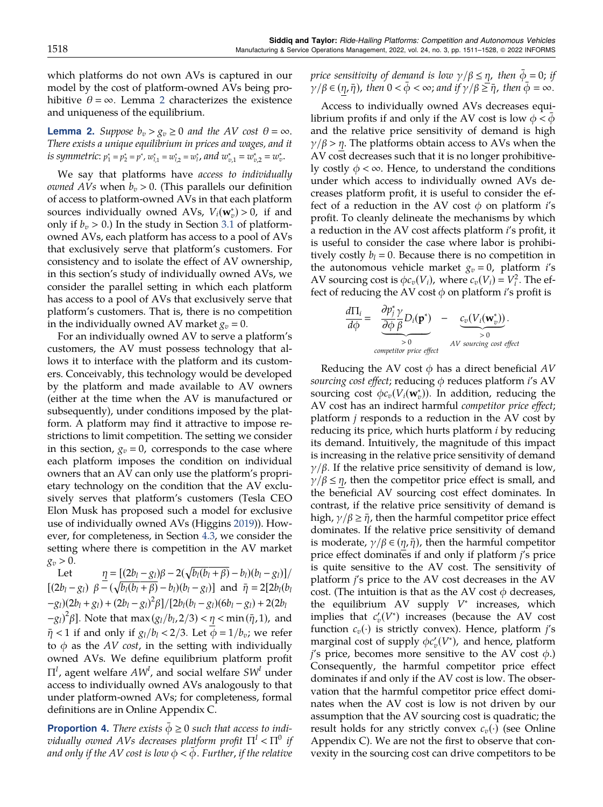<span id="page-8-0"></span>which platforms do not own AVs is captured in our model by the cost of platform-owned AVs being prohibitive  $\theta = \infty$ . Lemma 2 characterizes the existence and uniqueness of the equilibrium.

**Lemma 2.** Suppose  $b_v > g_v \geq 0$  and the AV cost  $\theta = \infty$ . There exists a unique equilibrium in prices and wages, and it is symmetric:  $p_1^* = p_2^* = p^*$ ,  $w_{l,1}^* = w_{l,2}^* = w_l^*$ , and  $w_{v,1}^* = w_{v,2}^* = w_v^*$ .

We say that platforms have access to individually *owned AVs* when  $b_v > 0$ . (This parallels our definition of access to platform-owned AVs in that each platform sources individually owned AVs,  $V_i(\mathbf{w}_v^*) > 0$ , if and only if  $b_v > 0$ .) In the study in Section [3.1](#page-5-0) of platformowned AVs, each platform has access to a pool of AVs that exclusively serve that platform's customers. For consistency and to isolate the effect of AV ownership, in this section's study of individually owned AVs, we consider the parallel setting in which each platform has access to a pool of AVs that exclusively serve that platform's customers. That is, there is no competition in the individually owned AV market  $g_v = 0$ .

For an individually owned AV to serve a platform's customers, the AV must possess technology that allows it to interface with the platform and its customers. Conceivably, this technology would be developed by the platform and made available to AV owners (either at the time when the AV is manufactured or subsequently), under conditions imposed by the platform. A platform may find it attractive to impose restrictions to limit competition. The setting we consider in this section,  $g_v = 0$ , corresponds to the case where each platform imposes the condition on individual owners that an AV can only use the platform's proprietary technology on the condition that the AV exclusively serves that platform's customers (Tesla CEO Elon Musk has proposed such a model for exclusive use of individually owned AVs (Higgins [2019\)](#page-18-0)). However, for completeness, in Section [4.3](#page-11-0), we consider the setting where there is competition in the AV market  $g_v > 0.$ 

Let  $\underline{\eta} = [(2b_l - g_l)\beta - 2(\sqrt{b_l(b_l + \beta)} - b_l)(b_l - g_l)]/$  $[(2b_l - g_l) \ \beta - (\sqrt{b_l(b_l + \beta)} - b_l)(b_l - g_l)]$  and  $\bar{\eta} = 2[2b_l(b_l + \beta)]$  $-g_l(2b_l+g_l) + (2b_l-g_l)^2 \beta \right] / [2b_l(b_l-g_l)(6b_l-g_l) + 2(2b_l$  $-g_l^2\beta$ ]. Note that  $\max(g_l/b_l, 2/3) < \eta < \min(\bar{\eta}, 1)$ , and  $\bar{\eta}$  < 1 if and only if  $g_l/b_l < 2/3$ . Let  $\phi = 1/b_v$ ; we refer to  $\phi$  as the AV cost, in the setting with individually owned AVs. We define equilibrium platform profit  $\Pi^I$ , agent welfare  $AW^I$ , and social welfare  $SW^I$  under access to individually owned AVs analogously to that under platform-owned AVs; for completeness, formal definitions are in Online Appendix C.

**Proportion 4.** There exists  $\phi \geq 0$  such that access to indi*vidually owned AVs decreases platform profit*  $\Pi^1 < \Pi^0$  *if* and only if the AV cost is low  $\phi < \phi$ . Further, if the relative

price sensitivity of demand is low  $\gamma/\beta \leq \eta$ , then  $\phi = 0$ ; if  $\gamma/\beta \in (\eta, \bar{\eta})$ , then  $0 < \phi < \infty$ ; and if  $\gamma/\beta \geq \bar{\eta}$ , then  $\phi = \infty$ .

Access to individually owned AVs decreases equilibrium profits if and only if the AV cost is low  $\phi < \phi$ and the relative price sensitivity of demand is high  $\gamma/\beta$  > η. The platforms obtain access to AVs when the AV cost decreases such that it is no longer prohibitively costly  $\phi < \infty$ . Hence, to understand the conditions under which access to individually owned AVs decreases platform profit, it is useful to consider the effect of a reduction in the AV cost  $\phi$  on platform i's profit. To cleanly delineate the mechanisms by which a reduction in the AV cost affects platform i's profit, it is useful to consider the case where labor is prohibitively costly  $b_l = 0$ . Because there is no competition in the autonomous vehicle market  $g_v = 0$ , platform *i's* AV sourcing cost is  $\phi c_v(V_i)$ , where  $c_v(V_i) = V_i^2$ . The effect of reducing the AV cost  $\phi$  on platform *i*'s profit is

$$
\frac{d\Pi_i}{d\phi} = \underbrace{\frac{\partial p_j^*}{\partial \phi} \frac{\gamma}{\beta} D_i(\mathbf{p}^*)}_{\text{competitive price effect}} - \underbrace{c_v(V_i(\mathbf{w}_v^*))}_{\text{20}}.
$$

Reducing the AV cost  $\phi$  has a direct beneficial AV sourcing cost effect; reducing  $\phi$  reduces platform i's AV sourcing cost  $\phi c_v(V_i(\mathbf{w}_v^*))$ . In addition, reducing the AV cost has an indirect harmful competitor price effect; platform  $j$  responds to a reduction in the AV cost by reducing its price, which hurts platform *i* by reducing its demand. Intuitively, the magnitude of this impact is increasing in the relative price sensitivity of demand  $\gamma/\beta$ . If the relative price sensitivity of demand is low,  $\gamma/\beta \leq \eta$ , then the competitor price effect is small, and the beneficial AV sourcing cost effect dominates. In contrast, if the relative price sensitivity of demand is high,  $\gamma/\beta \geq \bar{\eta}$ , then the harmful competitor price effect dominates. If the relative price sensitivity of demand is moderate,  $\gamma/\beta \in (\eta, \bar{\eta})$ , then the harmful competitor price effect dominates if and only if platform j's price is quite sensitive to the AV cost. The sensitivity of platform j's price to the AV cost decreases in the AV cost. (The intuition is that as the AV cost  $\phi$  decreases, the equilibrium AV supply  $V^*$  increases, which implies that  $c'_v(V^*)$  increases (because the AV cost function  $c_v(\cdot)$  is strictly convex). Hence, platform j's marginal cost of supply  $\phi c_v'(V^*)$ , and hence, platform  $j$ 's price, becomes more sensitive to the AV cost  $\phi$ .) Consequently, the harmful competitor price effect dominates if and only if the AV cost is low. The observation that the harmful competitor price effect dominates when the AV cost is low is not driven by our assumption that the AV sourcing cost is quadratic; the result holds for any strictly convex  $c_v(\cdot)$  (see Online Appendix C). We are not the first to observe that convexity in the sourcing cost can drive competitors to be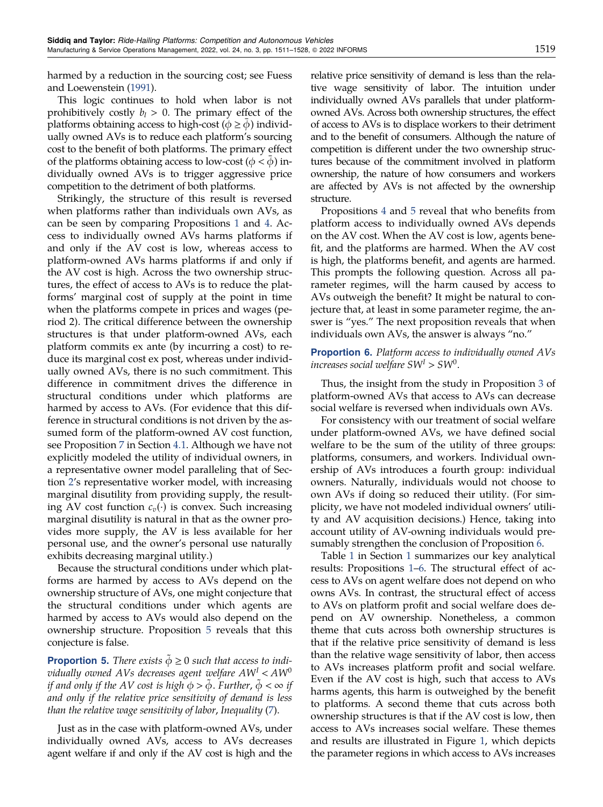<span id="page-9-0"></span>harmed by a reduction in the sourcing cost; see Fuess and Loewenstein ([1991](#page-18-0)).

This logic continues to hold when labor is not prohibitively costly  $b_l > 0$ . The primary effect of the platforms obtaining access to high-cost ( $\phi \ge \phi$ ) individually owned AVs is to reduce each platform's sourcing cost to the benefit of both platforms. The primary effect of the platforms obtaining access to low-cost ( $\phi < \phi$ ) individually owned AVs is to trigger aggressive price competition to the detriment of both platforms.

Strikingly, the structure of this result is reversed when platforms rather than individuals own AVs, as can be seen by comparing Propositions [1](#page-5-0) and [4.](#page-8-0) Access to individually owned AVs harms platforms if and only if the AV cost is low, whereas access to platform-owned AVs harms platforms if and only if the AV cost is high. Across the two ownership structures, the effect of access to AVs is to reduce the platforms' marginal cost of supply at the point in time when the platforms compete in prices and wages (period 2). The critical difference between the ownership structures is that under platform-owned AVs, each platform commits ex ante (by incurring a cost) to reduce its marginal cost ex post, whereas under individually owned AVs, there is no such commitment. This difference in commitment drives the difference in structural conditions under which platforms are harmed by access to AVs. (For evidence that this difference in structural conditions is not driven by the assumed form of the platform-owned AV cost function, see Proposition [7](#page-10-0) in Section [4.1](#page-10-0). Although we have not explicitly modeled the utility of individual owners, in a representative owner model paralleling that of Section [2](#page-3-0)'s representative worker model, with increasing marginal disutility from providing supply, the resulting AV cost function  $c_v(\cdot)$  is convex. Such increasing marginal disutility is natural in that as the owner provides more supply, the AV is less available for her personal use, and the owner's personal use naturally exhibits decreasing marginal utility.)

Because the structural conditions under which platforms are harmed by access to AVs depend on the ownership structure of AVs, one might conjecture that the structural conditions under which agents are harmed by access to AVs would also depend on the ownership structure. Proposition 5 reveals that this conjecture is false.

**Proportion 5.** There exists  $\ddot{\phi} \ge 0$  such that access to individually owned AVs decreases agent welfare  $AW<sup>I</sup> < AW<sup>0</sup>$ if and only if the AV cost is high  $\phi > \phi$ . Further,  $\phi < \infty$  if and only if the relative price sensitivity of demand is less than the relative wage sensitivity of labor, Inequality ([7\)](#page-6-0).

Just as in the case with platform-owned AVs, under individually owned AVs, access to AVs decreases agent welfare if and only if the AV cost is high and the relative price sensitivity of demand is less than the relative wage sensitivity of labor. The intuition under individually owned AVs parallels that under platformowned AVs. Across both ownership structures, the effect of access to AVs is to displace workers to their detriment and to the benefit of consumers. Although the nature of competition is different under the two ownership structures because of the commitment involved in platform ownership, the nature of how consumers and workers are affected by AVs is not affected by the ownership structure.

Propositions [4](#page-8-0) and 5 reveal that who benefits from platform access to individually owned AVs depends on the AV cost. When the AV cost is low, agents benefit, and the platforms are harmed. When the AV cost is high, the platforms benefit, and agents are harmed. This prompts the following question. Across all parameter regimes, will the harm caused by access to AVs outweigh the benefit? It might be natural to conjecture that, at least in some parameter regime, the answer is "yes." The next proposition reveals that when individuals own AVs, the answer is always "no."

## **Proportion 6.** Platform access to individually owned AVs increases social welfare  $SW^I > SW^0$ .

Thus, the insight from the study in Proposition [3](#page-7-0) of platform-owned AVs that access to AVs can decrease social welfare is reversed when individuals own AVs.

For consistency with our treatment of social welfare under platform-owned AVs, we have defined social welfare to be the sum of the utility of three groups: platforms, consumers, and workers. Individual ownership of AVs introduces a fourth group: individual owners. Naturally, individuals would not choose to own AVs if doing so reduced their utility. (For simplicity, we have not modeled individual owners' utility and AV acquisition decisions.) Hence, taking into account utility of AV-owning individuals would presumably strengthen the conclusion of Proposition 6.

Table [1](#page-3-0) in Section [1](#page-1-0) summarizes our key analytical results: Propositions [1](#page-5-0)–6. The structural effect of access to AVs on agent welfare does not depend on who owns AVs. In contrast, the structural effect of access to AVs on platform profit and social welfare does depend on AV ownership. Nonetheless, a common theme that cuts across both ownership structures is that if the relative price sensitivity of demand is less than the relative wage sensitivity of labor, then access to AVs increases platform profit and social welfare. Even if the AV cost is high, such that access to AVs harms agents, this harm is outweighed by the benefit to platforms. A second theme that cuts across both ownership structures is that if the AV cost is low, then access to AVs increases social welfare. These themes and results are illustrated in Figure [1](#page-10-0), which depicts the parameter regions in which access to AVs increases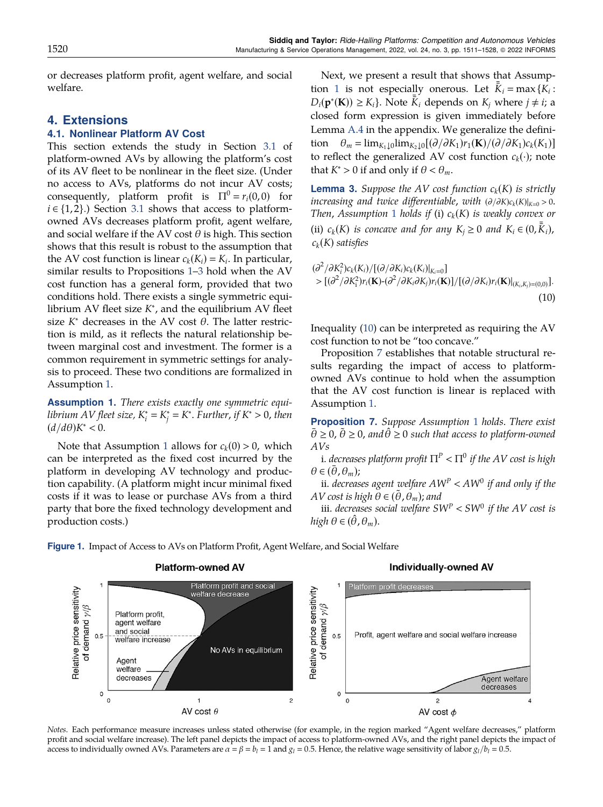<span id="page-10-0"></span>or decreases platform profit, agent welfare, and social welfare.

# 4. Extensions

## 4.1. Nonlinear Platform AV Cost

This section extends the study in Section [3.1](#page-5-0) of platform-owned AVs by allowing the platform's cost of its AV fleet to be nonlinear in the fleet size. (Under no access to AVs, platforms do not incur AV costs; consequently, platform profit is  $\Pi^0 = r_i(0, 0)$  for  $i \in \{1, 2\}$ .) Section [3.1](#page-5-0) shows that access to platformowned AVs decreases platform profit, agent welfare, and social welfare if the AV cost  $\theta$  is high. This section shows that this result is robust to the assumption that the AV cost function is linear  $c_k(K_i) = K_i$ . In particular, similar results to Propositions [1](#page-5-0)–[3](#page-7-0) hold when the AV cost function has a general form, provided that two conditions hold. There exists a single symmetric equilibrium AV fleet size  $K^*$ , and the equilibrium AV fleet size  $K^*$  decreases in the AV cost  $\theta$ . The latter restriction is mild, as it reflects the natural relationship between marginal cost and investment. The former is a common requirement in symmetric settings for analysis to proceed. These two conditions are formalized in Assumption 1.

Assumption 1. There exists exactly one symmetric equilibrium AV fleet size,  $K_i^*=K_j^*=K^*.$  Further, if  $K^*>0,$  then  $(d/d\theta)K^* < 0.$ 

Note that Assumption 1 allows for  $c_k(0) > 0$ , which can be interpreted as the fixed cost incurred by the platform in developing AV technology and production capability. (A platform might incur minimal fixed costs if it was to lease or purchase AVs from a third party that bore the fixed technology development and production costs.)

> Agent welfare decreases

 $\circ$ 

 $\theta$ 

Next, we present a result that shows that Assumption 1 is not especially onerous. Let  $\bar{\bar{K}}_i = \max\{K_i:$  $D_i(\mathbf{p}^*(\mathbf{K})) \geq K_i$ . Note  $\overline{\overline{K}}_i$  depends on  $K_j$  where  $j \neq i$ ; a closed form expression is given immediately before Lemma [A.4](#page-15-0) in the appendix. We generalize the definition  $\theta_m = \lim_{K_1 \downarrow 0} \lim_{K_2 \downarrow 0} [(\partial/\partial K_1)r_1(\mathbf{K})/(\partial/\partial K_1)c_k(K_1)]$ to reflect the generalized AV cost function  $c_k(\cdot)$ ; note that  $K^* > 0$  if and only if  $\theta < \theta_m$ .

**Lemma 3.** Suppose the AV cost function  $c_k(K)$  is strictly increasing and twice differentiable, with  $(\partial/\partial K)c_k(K)|_{K=0} > 0$ . Then, Assumption 1 holds if (i)  $c_k(K)$  is weakly convex or (ii)  $c_k(K)$  is concave and for any  $K_j \geq 0$  and  $K_i \in (0, \overline{k}_i)$ ,  $c_k(K)$  satisfies

$$
(\partial^2/\partial K_i^2)c_k(K_i)/[(\partial/\partial K_i)c_k(K_i)|_{K_i=0}]
$$
  
> 
$$
[(\partial^2/\partial K_i^2)r_i(\mathbf{K})-(\partial^2/\partial K_i\partial K_j)r_i(\mathbf{K})]/[(\partial/\partial K_i)r_i(\mathbf{K})|_{(K_i,K_j)=(0,0)}].
$$
 (10)

Inequality (10) can be interpreted as requiring the AV cost function to not be "too concave."

Proposition 7 establishes that notable structural results regarding the impact of access to platformowned AVs continue to hold when the assumption that the AV cost function is linear is replaced with Assumption 1.

**Proposition 7.** Suppose Assumption 1 holds. There exist  $\bar{\theta} \ge 0$ ,  $\tilde{\theta} \ge 0$ , and  $\hat{\theta} \ge 0$  such that access to platform-owned AVs

i. decreases platform profit  $\Pi^P < \Pi^0$  if the AV cost is high  $\theta \in (\bar{\theta}, \theta_m);$ 

ii. decreases agent welfare  $AW^P < AW^0$  if and only if the AV cost is high  $\theta \in (\tilde{\theta}, \theta_m)$ ; and

iii. decreases social welfare  $SW^P < SW^0$  if the AV cost is high  $\theta \in (\theta, \theta_m)$ .



Figure 1. Impact of Access to AVs on Platform Profit, Agent Welfare, and Social Welfare

 $\mathbf{1}$ 

AV cost  $\theta$ 

# **Individually-owned AV**

 $\overline{c}$ 

AV cost  $\phi$ 

Agent welfare decreases

Notes. Each performance measure increases unless stated otherwise (for example, in the region marked "Agent welfare decreases," platform profit and social welfare increase). The left panel depicts the impact of access to platform-owned AVs, and the right panel depicts the impact of access to individually owned AVs. Parameters are  $\alpha = \beta = b_l = 1$  and  $g_l = 0.5$ . Hence, the relative wage sensitivity of labor  $g_l/b_l = 0.5$ .

 $\overline{c}$ 

0

 $\circ$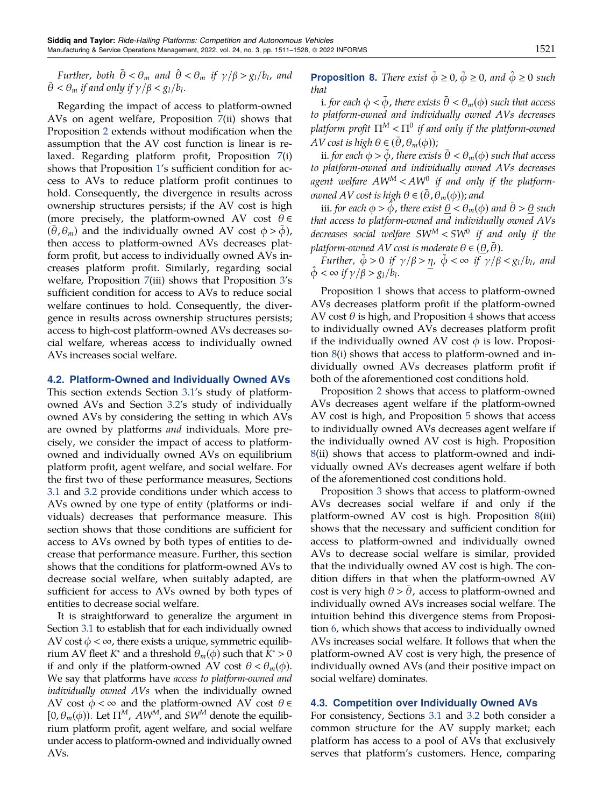<span id="page-11-0"></span>Further, both  $\bar{\theta} < \theta_m$  and  $\hat{\theta} < \theta_m$  if  $\gamma/\beta > g_l/b_l$ , and  $\tilde{\theta} < \theta_m$  if and only if  $\gamma/\beta < g_l/b_l$ .

Regarding the impact of access to platform-owned AVs on agent welfare, Proposition [7](#page-10-0)(ii) shows that Proposition [2](#page-6-0) extends without modification when the assumption that the AV cost function is linear is relaxed. Regarding platform profit, Proposition [7](#page-10-0)(i) shows that Proposition [1](#page-5-0)'s sufficient condition for access to AVs to reduce platform profit continues to hold. Consequently, the divergence in results across ownership structures persists; if the AV cost is high (more precisely, the platform-owned AV cost  $\theta \in$  $(\theta, \theta_m)$  and the individually owned AV cost  $\phi > \phi$ ), then access to platform-owned AVs decreases platform profit, but access to individually owned AVs increases platform profit. Similarly, regarding social welfare, Proposition [7\(](#page-10-0)iii) shows that Proposition [3](#page-7-0)'s sufficient condition for access to AVs to reduce social welfare continues to hold. Consequently, the divergence in results across ownership structures persists; access to high-cost platform-owned AVs decreases social welfare, whereas access to individually owned AVs increases social welfare.

### 4.2. Platform-Owned and Individually Owned AVs

This section extends Section [3.1](#page-5-0)'s study of platformowned AVs and Section [3.2](#page-7-0)'s study of individually owned AVs by considering the setting in which AVs are owned by platforms and individuals. More precisely, we consider the impact of access to platformowned and individually owned AVs on equilibrium platform profit, agent welfare, and social welfare. For the first two of these performance measures, Sections [3.1](#page-5-0) and [3.2](#page-7-0) provide conditions under which access to AVs owned by one type of entity (platforms or individuals) decreases that performance measure. This section shows that those conditions are sufficient for access to AVs owned by both types of entities to decrease that performance measure. Further, this section shows that the conditions for platform-owned AVs to decrease social welfare, when suitably adapted, are sufficient for access to AVs owned by both types of entities to decrease social welfare.

It is straightforward to generalize the argument in Section [3.1](#page-5-0) to establish that for each individually owned AV cost  $\phi < \infty$ , there exists a unique, symmetric equilibrium AV fleet K<sup>∗</sup> and a threshold  $\theta_m(\phi)$  such that K<sup>∗</sup> > 0 if and only if the platform-owned AV cost  $\theta < \theta_m(\phi)$ . We say that platforms have access to platform-owned and individually owned AVs when the individually owned AV cost  $\phi < \infty$  and the platform-owned AV cost  $\theta \in$  $[0,\theta_m(\phi))$ . Let  $\Pi^M$ ,  $AW^M$ , and  $SW^M$  denote the equilibrium platform profit, agent welfare, and social welfare under access to platform-owned and individually owned AVs.

**Proposition 8.** There exist  $\bar{\phi} \ge 0$ ,  $\tilde{\phi} \ge 0$ , and  $\hat{\phi} \ge 0$  such that

i. for each  $\phi < \phi$ , there exists  $\theta < \theta_m(\phi)$  such that access to platform-owned and individually owned AVs decreases platform profit  $\Pi^M < \Pi^0$  if and only if the platform-owned AV cost is high  $\theta \in (\bar{\theta}, \theta_m(\phi))$ ;

ii. for each  $\phi > \tilde{\phi}$ , there exists  $\bar{\theta} < \theta_m(\phi)$  such that access to platform-owned and individually owned AVs decreases agent welfare  $AW^M < AW^0$  if and only if the platform*owned AV cost is high*  $\theta \in (\bar{\theta}, \theta_m(\phi))$ ; and

iii. for each  $\phi > \phi$ , there exist  $\theta < \theta_m(\phi)$  and  $\theta > \theta$  such that access to platform-owned and individually owned AVs decreases social welfare  $SW^M < SW^0$  if and only if the platform-owned AV cost is moderate  $\theta \in (\underline{\theta}, \theta)$ .

Further,  $\phi > 0$  if  $\gamma/\beta > \eta$ ,  $\phi < \infty$  if  $\gamma/\beta < g_1/b_1$ , and  $\hat{\phi} < \infty$  if  $\gamma/\beta > g_l/b_l$ .

Proposition [1](#page-5-0) shows that access to platform-owned AVs decreases platform profit if the platform-owned AV cost  $\theta$  is high, and Proposition [4](#page-8-0) shows that access to individually owned AVs decreases platform profit if the individually owned AV cost  $\phi$  is low. Proposition 8(i) shows that access to platform-owned and individually owned AVs decreases platform profit if both of the aforementioned cost conditions hold.

Proposition [2](#page-6-0) shows that access to platform-owned AVs decreases agent welfare if the platform-owned AV cost is high, and Proposition [5](#page-9-0) shows that access to individually owned AVs decreases agent welfare if the individually owned AV cost is high. Proposition 8(ii) shows that access to platform-owned and individually owned AVs decreases agent welfare if both of the aforementioned cost conditions hold.

Proposition [3](#page-7-0) shows that access to platform-owned AVs decreases social welfare if and only if the platform-owned AV cost is high. Proposition 8(iii) shows that the necessary and sufficient condition for access to platform-owned and individually owned AVs to decrease social welfare is similar, provided that the individually owned AV cost is high. The condition differs in that when the platform-owned AV cost is very high  $\theta > \theta$ , access to platform-owned and individually owned AVs increases social welfare. The intuition behind this divergence stems from Proposition [6](#page-9-0), which shows that access to individually owned AVs increases social welfare. It follows that when the platform-owned AV cost is very high, the presence of individually owned AVs (and their positive impact on social welfare) dominates.

#### 4.3. Competition over Individually Owned AVs

For consistency, Sections [3.1](#page-5-0) and [3.2](#page-7-0) both consider a common structure for the AV supply market; each platform has access to a pool of AVs that exclusively serves that platform's customers. Hence, comparing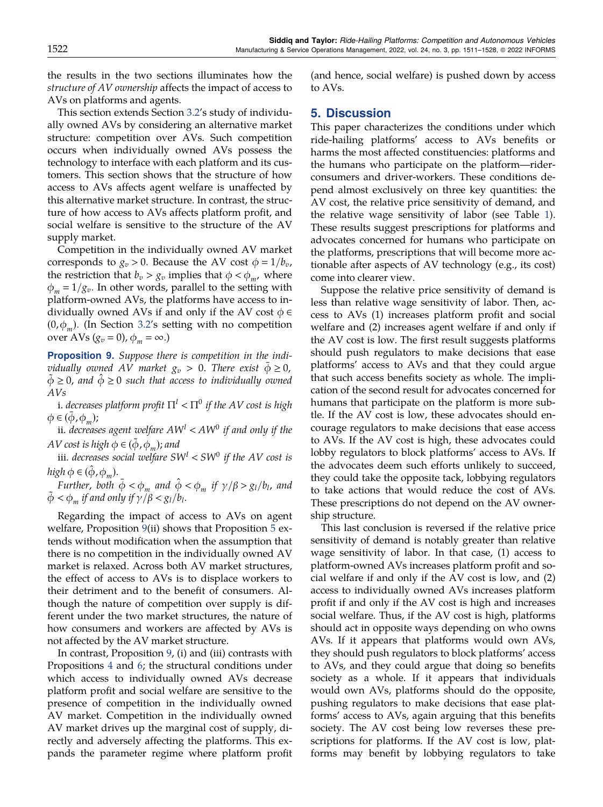<span id="page-12-0"></span>the results in the two sections illuminates how the structure of AV ownership affects the impact of access to AVs on platforms and agents.

This section extends Section [3.2](#page-7-0)'s study of individually owned AVs by considering an alternative market structure: competition over AVs. Such competition occurs when individually owned AVs possess the technology to interface with each platform and its customers. This section shows that the structure of how access to AVs affects agent welfare is unaffected by this alternative market structure. In contrast, the structure of how access to AVs affects platform profit, and social welfare is sensitive to the structure of the AV supply market.

Competition in the individually owned AV market corresponds to  $g_v > 0$ . Because the AV cost  $\phi = 1/b_v$ , the restriction that  $b_v > g_v$  implies that  $\phi < \phi_m$ , where  $\phi_m = 1/g_v$ . In other words, parallel to the setting with platform-owned AVs, the platforms have access to individually owned AVs if and only if the AV cost  $\phi \in$  $(0, \phi_m)$ . (In Section [3.2](#page-7-0)'s setting with no competition over AVs  $(g_v = 0)$ ,  $\phi_m = \infty$ .)

Proposition 9. Suppose there is competition in the individually owned AV market  $g_v > 0$ . There exist  $\phi \geq 0$ ,  $\tilde{\phi} \geq 0$ , and  $\tilde{\phi} \geq 0$  such that access to individually owned AVs

i. decreases platform profit  $\Pi^1 < \Pi^0$  if the AV cost is high  $\phi \in (\phi, \phi_m);$ 

ii. decreases agent welfare  $AW<sup>I</sup> < AW<sup>0</sup>$  if and only if the AV cost is high  $\phi \in (\phi, \phi_m)$ ; and

iii. decreases social welfare  $SW^I < SW^0$  if the AV cost is high  $\phi \in (\hat{\phi}, \phi_m)$ .

Further, both  $\bar{\phi} < \phi_m$  and  $\hat{\phi} < \phi_m$  if  $\gamma/\beta > g_l/b_l$ , and  $\ddot{\phi} < \phi_m$  if and only if  $\gamma/\beta < g_l/b_l$ .

Regarding the impact of access to AVs on agent welfare, Proposition 9(ii) shows that Proposition [5](#page-9-0) extends without modification when the assumption that there is no competition in the individually owned AV market is relaxed. Across both AV market structures, the effect of access to AVs is to displace workers to their detriment and to the benefit of consumers. Although the nature of competition over supply is different under the two market structures, the nature of how consumers and workers are affected by AVs is not affected by the AV market structure.

In contrast, Proposition 9, (i) and (iii) contrasts with Propositions [4](#page-8-0) and [6](#page-9-0); the structural conditions under which access to individually owned AVs decrease platform profit and social welfare are sensitive to the presence of competition in the individually owned AV market. Competition in the individually owned AV market drives up the marginal cost of supply, directly and adversely affecting the platforms. This expands the parameter regime where platform profit

(and hence, social welfare) is pushed down by access to AVs.

## 5. Discussion

This paper characterizes the conditions under which ride-hailing platforms' access to AVs benefits or harms the most affected constituencies: platforms and the humans who participate on the platform—riderconsumers and driver-workers. These conditions depend almost exclusively on three key quantities: the AV cost, the relative price sensitivity of demand, and the relative wage sensitivity of labor (see Table [1](#page-3-0)). These results suggest prescriptions for platforms and advocates concerned for humans who participate on the platforms, prescriptions that will become more actionable after aspects of AV technology (e.g., its cost) come into clearer view.

Suppose the relative price sensitivity of demand is less than relative wage sensitivity of labor. Then, access to AVs (1) increases platform profit and social welfare and (2) increases agent welfare if and only if the AV cost is low. The first result suggests platforms should push regulators to make decisions that ease platforms' access to AVs and that they could argue that such access benefits society as whole. The implication of the second result for advocates concerned for humans that participate on the platform is more subtle. If the AV cost is low, these advocates should encourage regulators to make decisions that ease access to AVs. If the AV cost is high, these advocates could lobby regulators to block platforms' access to AVs. If the advocates deem such efforts unlikely to succeed, they could take the opposite tack, lobbying regulators to take actions that would reduce the cost of AVs. These prescriptions do not depend on the AV ownership structure.

This last conclusion is reversed if the relative price sensitivity of demand is notably greater than relative wage sensitivity of labor. In that case, (1) access to platform-owned AVs increases platform profit and social welfare if and only if the AV cost is low, and (2) access to individually owned AVs increases platform profit if and only if the AV cost is high and increases social welfare. Thus, if the AV cost is high, platforms should act in opposite ways depending on who owns AVs. If it appears that platforms would own AVs, they should push regulators to block platforms' access to AVs, and they could argue that doing so benefits society as a whole. If it appears that individuals would own AVs, platforms should do the opposite, pushing regulators to make decisions that ease platforms' access to AVs, again arguing that this benefits society. The AV cost being low reverses these prescriptions for platforms. If the AV cost is low, platforms may benefit by lobbying regulators to take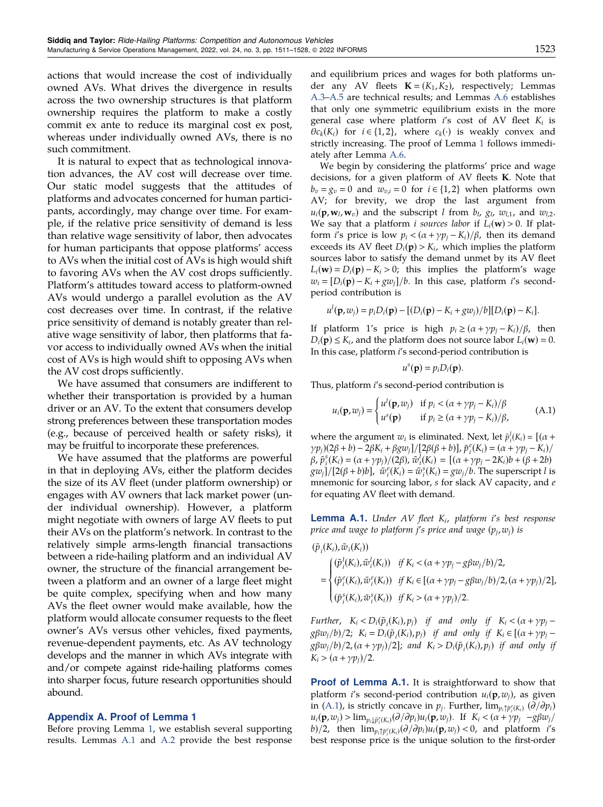<span id="page-13-0"></span>actions that would increase the cost of individually owned AVs. What drives the divergence in results across the two ownership structures is that platform ownership requires the platform to make a costly commit ex ante to reduce its marginal cost ex post, whereas under individually owned AVs, there is no such commitment.

It is natural to expect that as technological innovation advances, the AV cost will decrease over time. Our static model suggests that the attitudes of platforms and advocates concerned for human participants, accordingly, may change over time. For example, if the relative price sensitivity of demand is less than relative wage sensitivity of labor, then advocates for human participants that oppose platforms' access to AVs when the initial cost of AVs is high would shift to favoring AVs when the AV cost drops sufficiently. Platform's attitudes toward access to platform-owned AVs would undergo a parallel evolution as the AV cost decreases over time. In contrast, if the relative price sensitivity of demand is notably greater than relative wage sensitivity of labor, then platforms that favor access to individually owned AVs when the initial cost of AVs is high would shift to opposing AVs when the AV cost drops sufficiently.

We have assumed that consumers are indifferent to whether their transportation is provided by a human driver or an AV. To the extent that consumers develop strong preferences between these transportation modes (e.g., because of perceived health or safety risks), it may be fruitful to incorporate these preferences.

We have assumed that the platforms are powerful in that in deploying AVs, either the platform decides the size of its AV fleet (under platform ownership) or engages with AV owners that lack market power (under individual ownership). However, a platform might negotiate with owners of large AV fleets to put their AVs on the platform's network. In contrast to the relatively simple arms-length financial transactions between a ride-hailing platform and an individual AV owner, the structure of the financial arrangement between a platform and an owner of a large fleet might be quite complex, specifying when and how many AVs the fleet owner would make available, how the platform would allocate consumer requests to the fleet owner's AVs versus other vehicles, fixed payments, revenue-dependent payments, etc. As AV technology develops and the manner in which AVs integrate with and/or compete against ride-hailing platforms comes into sharper focus, future research opportunities should abound.

## Appendix A. Proof of Lemma 1

Before proving Lemma [1](#page-5-0), we establish several supporting results. Lemmas A.1 and [A.2](#page-14-0) provide the best response and equilibrium prices and wages for both platforms under any AV fleets  $\mathbf{K} = (K_1, K_2)$ , respectively; Lemmas [A.3](#page-14-0)–[A.5](#page-15-0) are technical results; and Lemmas [A.6](#page-15-0) establishes that only one symmetric equilibrium exists in the more general case where platform  $i$ 's cost of AV fleet  $K_i$  is  $\theta c_k(K_i)$  for  $i \in \{1,2\}$ , where  $c_k(\cdot)$  is weakly convex and strictly increasing. The proof of Lemma [1](#page-5-0) follows immediately after Lemma [A.6.](#page-15-0)

We begin by considering the platforms' price and wage decisions, for a given platform of AV fleets K. Note that  $b_v = g_v = 0$  and  $w_{v,i} = 0$  for  $i \in \{1,2\}$  when platforms own AV; for brevity, we drop the last argument from  $u_i(\mathbf{p}, \mathbf{w}_l, \mathbf{w}_v)$  and the subscript *l* from  $b_l$ ,  $g_l$ ,  $w_{l,1}$ , and  $w_{l,2}$ . We say that a platform *i sources labor* if  $L_i(\mathbf{w}) > 0$ . If platform *i's* price is low  $p_i < (a + \gamma p_j - K_i)/\beta$ , then its demand exceeds its AV fleet  $D_i(\mathbf{p}) > K_i$ , which implies the platform sources labor to satisfy the demand unmet by its AV fleet  $L_i(\mathbf{w}) = D_i(\mathbf{p}) - K_i > 0$ ; this implies the platform's wage  $w_i = [D_i(\mathbf{p}) - K_i + g w_j]/b$ . In this case, platform i's secondperiod contribution is

$$
u^{l}(\mathbf{p}, w_{j}) = p_{i}D_{i}(\mathbf{p}) - [(D_{i}(\mathbf{p}) - K_{i} + g w_{j})/b][D_{i}(\mathbf{p}) - K_{i}].
$$

If platform 1's price is high  $p_i \geq (a + \gamma p_j - K_i)/\beta$ , then  $D_i(\mathbf{p}) \leq K_i$ , and the platform does not source labor  $L_i(\mathbf{w}) = 0$ . In this case, platform i's second-period contribution is

$$
u^s(\mathbf{p})=p_iD_i(\mathbf{p}).
$$

Thus, platform i's second-period contribution is

$$
u_i(\mathbf{p}, w_j) = \begin{cases} u^l(\mathbf{p}, w_j) & \text{if } p_i < (\alpha + \gamma p_j - K_i) / \beta \\ u^s(\mathbf{p}) & \text{if } p_i \ge (\alpha + \gamma p_j - K_i) / \beta, \end{cases}
$$
 (A.1)

where the argument  $w_i$  is eliminated. Next, let  $\tilde{p}_i^l(K_i) = [(\alpha +$  $\gamma p_j$ )(2 $\beta + b$ ) – 2 $\beta K_i + \beta g w_j$ ]/[2 $\beta(\beta + b)$ ],  $\tilde{p}_i^e(K_i) = (\alpha + \gamma p_j - K_i)$ /  $β, \tilde{p}_i^s(K_i) = (α + γp_j)/(2β), \tilde{w}_i^l(K_i) = [(α + γp_j - 2K_i)b + (β + 2b)$  $(gw_j]/[2(\beta + b)b]$ ,  $\tilde{w}_i^e(K_i) = \tilde{w}_i^s(K_i) = gw_j/b$ . The superscript l is mnemonic for sourcing labor, s for slack AV capacity, and  $e$ for equating AV fleet with demand.

**Lemma A.1.** Under AV fleet  $K_i$ , platform i's best response price and wage to platform j's price and wage  $(p_i, w_j)$  is

 $(\tilde{p}_i(K_i), \tilde{w}_i(K_i))$  $=$  $(\tilde{p}_i^l(K_i), \tilde{w}_i^l(K_i))$  if  $K_i < (\alpha + \gamma p_j - g \beta w_j/b)/2$ ,  $(\tilde{p}_i^e(K_i), \tilde{w}_i^e(K_i))$  if  $K_i \in [(\alpha + \gamma p_j - g \beta w_j/b)/2, (\alpha + \gamma p_j)/2]$ ,  $(\tilde{p}_i^s(K_i), \tilde{w}_i^s(K_i))$  if  $K_i > (\alpha + \gamma p_j)/2$ .  $\int_{0}^{1}$  $\begin{array}{c|c|c|c} & \multicolumn{1}{c|}{\textbf{0.25}} & \multicolumn{1}{c|}{\textbf{0.35}} & \multicolumn{1}{c|}{\textbf{0.35}} & \multicolumn{1}{c|}{\textbf{0.35}} & \multicolumn{1}{c|}{\textbf{0.35}} & \multicolumn{1}{c|}{\textbf{0.35}} & \multicolumn{1}{c|}{\textbf{0.35}} & \multicolumn{1}{c|}{\textbf{0.35}} & \multicolumn{1}{c|}{\textbf{0.35}} & \multicolumn{1}{c|}{\textbf{0.35}} & \multicolumn{1$ 

Further,  $K_i < D_i(\tilde{p}_i(K_i), p_j)$  if and only if  $K_i < (\alpha + \gamma p_j - \gamma)$  $g\beta w_j/b)/2$ ;  $K_i = D_i(\tilde{p}_i(K_i), p_j)$  if and only if  $K_i \in [(\alpha + \gamma p_j - \gamma)]$  $g\beta w_j/b)/2$ ,  $(\alpha + \gamma p_j)/2$ ]; and  $K_i > D_i(\tilde{p}_i(K_i), p_j)$  if and only if  $K_i > (\alpha + \gamma p_i)/2.$ 

Proof of Lemma A.1. It is straightforward to show that platform *i's* second-period contribution  $u_i(\mathbf{p}, w_i)$ , as given in (A.1), is strictly concave in  $p_j$ . Further,  $\lim_{p_i \uparrow \tilde{p}_i^e(K_i)} (\partial/\partial p_i)$  $u_i(\mathbf{p}, w_j) > \lim_{p_i \downarrow \tilde{p}_i^e(K_i)} (\partial/\partial p_i) u_i(\mathbf{p}, w_j).$  If  $K_i < (\alpha + \gamma p_j - g \beta w_j)$ b)/2, then  $\lim_{p_i \uparrow \tilde{p}^e_i(K_i)} (\partial/\partial p_i)u_i(\mathbf{p},w_j) < 0$ , and platform *i*'s best response price is the unique solution to the first-order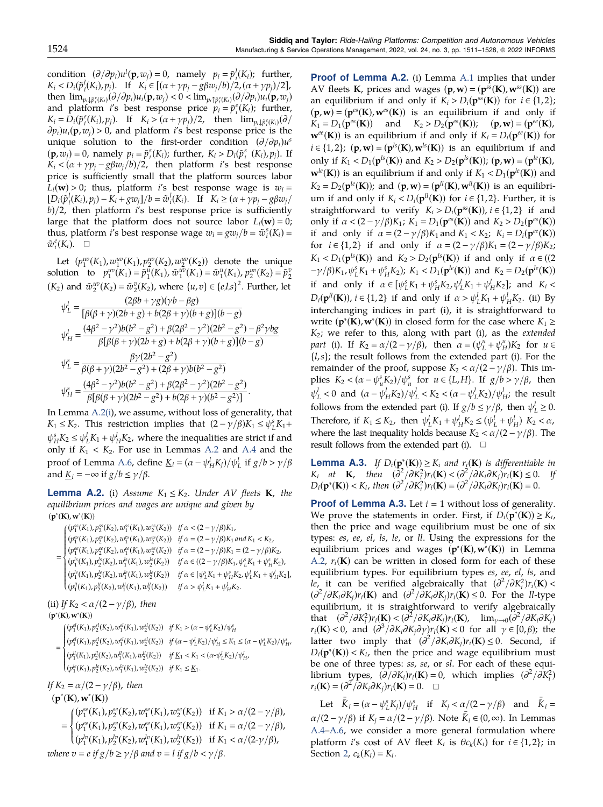<span id="page-14-0"></span>condition  $(\partial/\partial p_i)u^l(\mathbf{p},w_j) = 0$ , namely  $p_i = \tilde{p}_i^l(K_i)$ ; further,  $K_i < D_i(\tilde{p}_i^l(K_i), p_j)$ . If  $K_i \in [(\alpha + \gamma p_j - g \beta w_j/b)/2, (\alpha + \gamma p_j)/2]$ , then  $\lim_{p_i \downarrow \tilde{p}_i^e(K_i)} (\partial/\partial p_i) u_i(\mathbf{p}, w_j) < 0 < \lim_{p_i \uparrow \tilde{p}_i^e(K_i)} (\partial/\partial p_i) u_i(\mathbf{p}, w_j)$ and platform *i*'s best response price  $p_i = \tilde{p}_i^e(K_i)$ ; further,  $K_i = D_i(\tilde{p}_i^e(K_i), p_j)$ . If  $K_i > (\alpha + \gamma p_j)/2$ , then  $\lim_{p_i \downarrow \tilde{p}_i^e(K_i)}(\partial /$  $\partial p_i|u_i(\mathbf{p},w_i) > 0$ , and platform i's best response price is the unique solution to the first-order condition  $(\partial/\partial p_i)u^s$  $(\mathbf{p}, \overline{w}_j) = 0$ , namely  $p_i = \tilde{p}_i^s(K_i)$ ; further,  $K_i > D_i(\tilde{p}_i^s(K_i), p_j)$ . If  $K_i < (\alpha + \gamma p_i - g \beta w_i/b)/2$ , then platform i's best response price is sufficiently small that the platform sources labor  $L_i(\mathbf{w}) > 0$ ; thus, platform i's best response wage is  $w_i =$  $[D_i(\tilde{p}_i^l(K_i), p_j) - K_i + gw_j]/b = \tilde{w}_i^l(K_i).$  If  $K_i \geq (\alpha + \gamma p_j - g\beta w_j)$  $b/2$ , then platform i's best response price is sufficiently large that the platform does not source labor  $L_i(\mathbf{w}) = 0$ ; thus, platform *i*'s best response wage  $w_i = \frac{gw_j}{b} = \tilde{w}_i^s(K_i) =$  $\tilde{w}_i^e(K_i)$ .  $\Box$ 

Let  $(p_1^{uv}(K_1), w_1^{uv}(K_1), p_2^{uv}(K_2), w_2^{uv}(K_2))$  denote the unique solution to  $p_1^{uv}(K_1) = \tilde{p}_1^u(K_1)$ ,  $\tilde{w}_1^{uv}(K_1) = \tilde{w}_1^u(K_1)$ ,  $p_2^{uv}(K_2) = \tilde{p}_2^v$  $(K_2)$  and  $\tilde{w}_2^{uv}(K_2) = \tilde{w}_2^v(K_2)$ , where  $\{u, v\} \in \{e, l, s\}^2$ . Further, let

$$
\psi_L^l = \frac{(2\beta b + \gamma g)(\gamma b - \beta g)}{[\beta(\beta + \gamma)(2b + g) + b(2\beta + \gamma)(b + g)](b - g)}
$$
  
\n
$$
\psi_H^l = \frac{(4\beta^2 - \gamma^2)b(b^2 - g^2) + \beta(2\beta^2 - \gamma^2)(2b^2 - g^2) - \beta^2 \gamma bg}{\beta[\beta(\beta + \gamma)(2b + g) + b(2\beta + \gamma)(b + g)](b - g)}
$$
  
\n
$$
\psi_L^s = \frac{\beta \gamma (2b^2 - g^2)}{\beta(\beta + \gamma)(2b^2 - g^2) + (2\beta + \gamma)b(b^2 - g^2)}
$$
  
\n
$$
\psi_H^s = \frac{(4\beta^2 - \gamma^2)b(b^2 - g^2) + \beta(2\beta^2 - \gamma^2)(2b^2 - g^2)}{\beta[\beta(\beta + \gamma)(2b^2 - g^2) + b(2\beta + \gamma)(b^2 - g^2)]}.
$$

In Lemma A.2(i), we assume, without loss of generality, that  $K_1 \leq K_2$ . This restriction implies that  $(2 - \gamma/\beta)K_1 \leq \psi_L^s K_1 +$  $\psi_H^s K_2 \leq \psi_L^l K_1 + \psi_H^l K_2$ , where the inequalities are strict if and only if  $K_1 < K_2$ . For use in Lemmas A.2 and [A.4](#page-15-0) and the proof of Lemma [A.6,](#page-15-0) define <u> $K_i = (\alpha - \psi_H^l K_j)/\psi_L^l$  if  $g/b > \gamma/\beta$ </u> and  $\underline{K}_i = -\infty$  if  $g/b \le \gamma/\beta$ .

**Lemma A.2.** (i) Assume  $K_1 \leq K_2$ . Under AV fleets **K**, the equilibrium prices and wages are unique and given by  $(p^*(K), w^*(K))$ 

$$
= \begin{cases} (p_1^{ss}(K_1),p_2^{ss}(K_2),w_1^{ss}(K_1),w_2^{ss}(K_2)) & \textit{if $\alpha<(2-\gamma/\beta)K_1$,} \\ (p_1^{ss}(K_1),p_2^{ss}(K_2),w_1^{ss}(K_1),w_2^{ss}(K_2)) & \textit{if $\alpha=(2-\gamma/\beta)K_1$ and $K_1< K_2$,} \\ (p_1^{ss}(K_1),p_2^{es}(K_2),w_1^{es}(K_1),w_2^{es}(K_2)) & \textit{if $\alpha=(2-\gamma/\beta)K_1=\left(2-\gamma/\beta\right)K_2$,} \\ (p_1^{js}(K_1),p_2^{js}(K_2),w_1^{js}(K_1),w_2^{js}(K_2)) & \textit{if $\alpha\in((2-\gamma/\beta)K_1,\psi_L^sK_1+\psi_H^sK_2)$,} \\ (p_1^{js}(K_1),p_2^{js}(K_2),w_1^{js}(K_1),w_2^{js}(K_2)) & \textit{if $\alpha\in[\psi_L^sK_1+\psi_H^sK_2,\psi_L^jK_1+\psi_H^jK_2]$,} \\ (p_1^{ji}(K_1),p_2^{ji}(K_2),w_1^{ji}(K_1),w_2^{ji}(K_2)) & \textit{if $\alpha>\psi_L^jK_1+\psi_H^jK_2$.} \end{cases}
$$

(ii) If  $K_2 < \alpha/(2 - \gamma/\beta)$ , then

## $(p^*(K), w^*(K))$

 $(p_1^{sl}(K_1), p_2^{sl}(K_2), w_1^{sl}(K_1), w_2^{sl}(K_2))$  if  $K_1 > (\alpha - \psi_L^s K_2) / \psi_H^s$ 

 $\equiv$  $(p_1^{el}(K_1), p_2^{el}(K_2), w_1^{el}(K_1), w_2^{el}(K_2))$  if  $(\alpha - \psi_L^l K_2) / \psi_H^l \le K_1 \le (\alpha - \psi_L^s K_2) / \psi_H^s$  $(p_1^{\parallel}(K_1), p_2^{\parallel}(K_2), w_1^{\parallel}(K_1), w_2^{\parallel}(K_2))$  if  $\underline{K}_1 < K_1 < (\alpha - \psi_L^{\parallel} K_2) / \psi_H^{\parallel}$  $(p_1^{le}(K_1), p_2^{le}(K_2), w_1^{le}(K_1), w_2^{le}(K_2))$  if  $K_1 \leq \underline{K}_1$ . ⎧⎪⎪⎪⎪⎪⎪⎪⎪⎪⎪⎪⎪⎪⎪⎪⎪⎨ ⎪⎪⎪⎪⎪⎪⎪⎪⎪⎪⎪⎪⎪⎪⎪⎪⎩

If  $K_2 = \alpha/(2 - \gamma/\beta)$ , then

$$
\left(p^*(K),w^*(K)\right)
$$

 $=$  $(p_1^{se}(K_1), p_2^{se}(K_2), w_1^{se}(K_1), w_2^{se}(K_2))$  if  $K_1 > \alpha/(2 - \gamma/\beta)$ ,  $(p_1^{ee}(K_1), p_2^{ee}(K_2), w_1^{ee}(K_1), w_2^{ee}(K_2))$  if  $K_1 = \alpha/(2 - \gamma/\beta)$ ,  $(p_1^{lv}(K_1), p_2^{lv}(K_2), w_1^{lv}(K_1), w_2^{lv}(K_2))$  if  $K_1 < \alpha/(2-\gamma/\beta)$ , ⎧⎪⎪⎪⎪⎪⎨  $\overline{\mathcal{N}}$ where  $v = e$  if  $g/b \ge \gamma/\beta$  and  $v = l$  if  $g/b < \gamma/\beta$ .

Proof of Lemma A.2. (i) Lemma [A.1](#page-13-0) implies that under AV fleets **K**, prices and wages  $(p, w) = (p^{ss}(K), w^{ss}(K))$  are an equilibrium if and only if  $K_i > D_i(p^{ss}(K))$  for  $i \in \{1,2\}$ ;  $(p, w) = (p^{es}(K), w^{es}(K))$  is an equilibrium if and only if  $K_1 = D_1(\mathbf{p}^{es}(\mathbf{K}))$  and  $K_2 > D_2(\mathbf{p}^{es}(\mathbf{K}))$ ;  $(\mathbf{p}, \mathbf{w}) = (\mathbf{p}^{ee}(\mathbf{K}))$ ,  $\mathbf{w}^{ee}(\mathbf{K})$ ) is an equilibrium if and only if  $K_i = D_i(\mathbf{p}^{ee}(\mathbf{K}))$  for  $i \in \{1,2\}$ ; (p,w) = (p<sup>ls</sup>(K),w<sup>ls</sup>(K)) is an equilibrium if and only if  $K_1 < D_1(p^{ls}(\mathbf{K}))$  and  $K_2 > D_2(p^{ls}(\mathbf{K}))$ ; (p, w) = (p<sup>le</sup>(K),  $\mathbf{w}^{le}(\mathbf{K})$ ) is an equilibrium if and only if  $K_1 < D_1(\mathbf{p}^{le}(\mathbf{K}))$  and  $K_2 = D_2(\mathbf{p}^{le}(\mathbf{K}))$ ; and  $(\mathbf{p}, \mathbf{w}) = (\mathbf{p}^{ll}(\mathbf{K}), \mathbf{w}^{ll}(\mathbf{K}))$  is an equilibrium if and only if  $K_i < D_i(p^{ll}(\mathbf{K}))$  for  $i \in \{1,2\}$ . Further, it is straightforward to verify  $K_i > D_i(p^{ss}(\mathbf{K}))$ ,  $i \in \{1,2\}$  if and only if  $\alpha < (2 - \gamma/\beta)K_1$ ;  $K_1 = D_1(\mathbf{p}^{\text{es}}(\mathbf{K}))$  and  $K_2 > D_2(\mathbf{p}^{\text{es}}(\mathbf{K}))$ if and only if  $\alpha = (2 - \gamma/\beta)K_1$  and  $K_1 < K_2$ ;  $K_i = D_i(\mathbf{p}^{ee}(\mathbf{K}))$ for  $i \in \{1,2\}$  if and only if  $\alpha = (2 - \gamma/\beta)K_1 = (2 - \gamma/\beta)K_2$ ;  $K_1 < D_1(\mathbf{p}^{ls}(\mathbf{K}))$  and  $K_2 > D_2(\mathbf{p}^{ls}(\mathbf{K}))$  if and only if  $\alpha \in (2, 1]$  $-\gamma/\beta$ )K<sub>1</sub>,  $\psi_L^s$ K<sub>1</sub> +  $\psi_H^s$ K<sub>2</sub>); K<sub>1</sub> < D<sub>1</sub>( $\mathbf{p}^{le}$ (**K**)) and K<sub>2</sub> = D<sub>2</sub>( $\mathbf{p}^{le}$ (**K**)) if and only if  $\alpha \in [\psi_L^s K_1 + \psi_H^s K_2, \psi_L^l K_1 + \psi_H^l K_2]$ ; and  $K_i <$  $D_i(\mathbf{p}^{\textit{II}}(\mathbf{K}))$ ,  $i \in \{1,2\}$  if and only if  $\alpha > \psi_L^{\textit{I}} K_1 + \psi_H^{\textit{I}} K_2$ . (ii) By interchanging indices in part (i), it is straightforward to write  $(\mathbf{p}^*(\mathbf{K}), \mathbf{w}^*(\mathbf{K}))$  in closed form for the case where  $K_1 \geq$  $K_2$ ; we refer to this, along with part (i), as the *extended* part (i). If  $K_2 = \alpha/(2 - \gamma/\beta)$ , then  $\alpha = (\psi_L^u + \psi_H^u)K_2$  for  $u \in$  ${l,s}$ ; the result follows from the extended part (i). For the remainder of the proof, suppose  $K_2 < \alpha/(2 - \gamma/\beta)$ . This implies  $K_2 < (\alpha - \psi_u^s K_2) / \psi_u^s$  for  $u \in \{L, H\}$ . If  $g/b > \gamma/\beta$ , then  $\psi_L^l$  < 0 and  $(\alpha - \psi_H^l K_2)/\psi_L^l$  <  $K_2 < (\alpha - \psi_L^l K_2)/\psi_H^l$ ; the result follows from the extended part (i). If  $g/b \le \gamma/\beta$ , then  $\psi_L^l \ge 0$ . Therefore, if  $K_1 \leq K_2$ , then  $\psi_L^l K_1 + \psi_H^l K_2 \leq (\psi_L^l + \psi_H^l) K_2 < \alpha$ , where the last inequality holds because  $K_2 < \alpha/(2 - \gamma/\beta)$ . The result follows from the extended part (i).  $\square$ 

**Lemma A.3.** If  $D_i(\mathbf{p}^*(\mathbf{K})) \geq K_i$  and  $r_i(\mathbf{K})$  is differentiable in  $K_i$  at **K**, then  $(\frac{\partial^2}{\partial K_i^2})r_i(\mathbf{K}) < (\frac{\partial^2}{\partial K_i \partial K_j})r_i(\mathbf{K}) \leq 0$ . If  $D_i(\mathbf{p}^*(\mathbf{K})) < K_i$ , then  $\left(\frac{\partial^2}{\partial K_i^2}\right)r_i(\mathbf{K}) = \left(\frac{\partial^2}{\partial K_i\partial K_j}\right)r_i(\mathbf{K}) = 0$ .

**Proof of Lemma A.3.** Let  $i = 1$  without loss of generality. We prove the statements in order. First, if  $D_i(\mathbf{p}^*(\mathbf{K})) \geq K_i$ , then the price and wage equilibrium must be one of six types: es, ee, el, ls, le, or ll. Using the expressions for the equilibrium prices and wages  $(p^*(K), w^*(K))$  in Lemma A.2,  $r_i(K)$  can be written in closed form for each of these equilibrium types. For equilibrium types es, ee, el, ls, and le, it can be verified algebraically that  $\left(\frac{\partial^2}{\partial K_i^2}\right) r_i(\mathbf{K}) <$  $\left(\frac{\partial^2}{\partial K_i \partial K_j}\right) r_i(\mathbf{K})$  and  $\left(\frac{\partial^2}{\partial K_i \partial K_j}\right) r_i(\mathbf{K}) \leq 0$ . For the *ll*-type equilibrium, it is straightforward to verify algebraically that  $(\partial^2/\partial K_i^2)r_i(\mathbf{K}) < (\partial^2/\partial K_i\partial K_j)r_i(\mathbf{K})$ ,  $\lim_{\gamma\to 0}(\partial^2/\partial K_i\partial K_j)$  $r_i(\mathbf{K}) < 0$ , and  $(\partial^3/\partial K_i \partial K_j \partial \gamma) r_i(\mathbf{K}) < 0$  for all  $\gamma \in [0,\beta)$ ; the latter two imply that  $(\partial^2/\partial K_i \partial K_j) r_i(\mathbf{K}) \leq 0$ . Second, if  $D_i(\mathbf{p}^*(\mathbf{K})) < K_i$ , then the price and wage equilibrium must be one of three types: ss, se, or sl. For each of these equilibrium types,  $(\partial/\partial K_i)r_i(\mathbf{K})=0$ , which implies  $(\partial^2/\partial K_i^2)$  $r_i(\mathbf{K}) = (\partial^2/\partial K_i \partial K_j)r_i(\mathbf{K}) = 0.$ 

Let  $\bar{\bar{K}}_i = (\alpha - \psi_L^s K_j) / \psi_H^s$  if  $K_j < \alpha / (2 - \gamma / \beta)$  and  $\bar{\bar{K}}_i =$  $\alpha/(2 - \gamma/\beta)$  if  $K_j = \alpha/(2 - \gamma/\beta)$ . Note  $\bar{\bar{K}}_i \in (0, \infty)$ . In Lemmas [A.4](#page-15-0)–[A.6](#page-15-0), we consider a more general formulation where platform i's cost of AV fleet  $K_i$  is  $\theta c_k(K_i)$  for  $i \in \{1,2\}$ ; in Section [2,](#page-3-0)  $c_k(K_i) = K_i$ .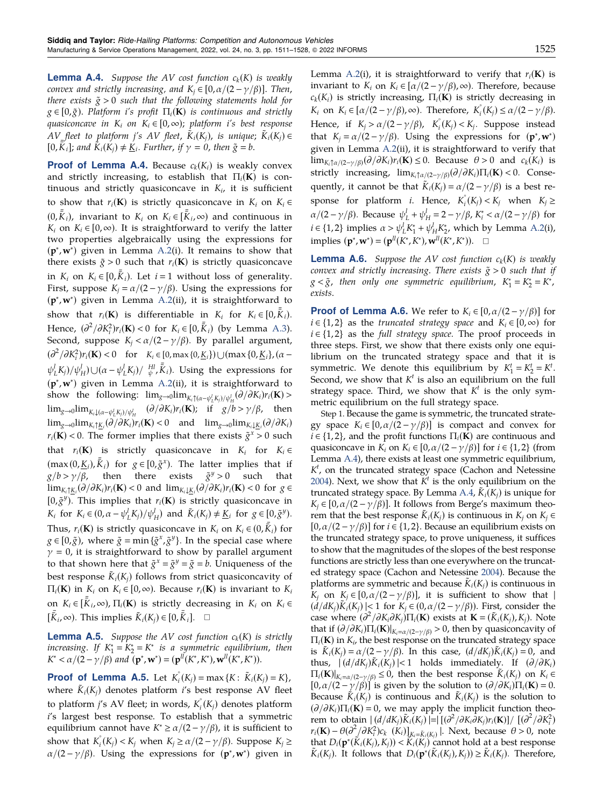<span id="page-15-0"></span>**Lemma A.4.** Suppose the AV cost function  $c_k(K)$  is weakly convex and strictly increasing, and  $K_i \in [0, \alpha/(2 - \gamma/\beta)]$ . Then, there exists  $\tilde{g} > 0$  such that the following statements hold for  $g \in [0,\tilde{g})$ . Platform i's profit  $\Pi_i(K)$  is continuous and strictly quasiconcave in  $K_i$  on  $K_i \in [0, \infty)$ ; platform i's best response AV fleet to platform j's AV fleet,  $\tilde{K}_i(K_i)$ , is unique;  $\tilde{K}_i(K_i) \in$ [0,  $\overline{K}_i$ ]; and  $\overline{K}_i(K_j) \neq \underline{K}_i$ . Further, if  $\gamma = 0$ , then  $\tilde{g} = b$ .

**Proof of Lemma A.4.** Because  $c_k(K_i)$  is weakly convex and strictly increasing, to establish that  $\Pi_i(K)$  is continuous and strictly quasiconcave in  $K_i$ , it is sufficient to show that  $r_i(\mathbf{K})$  is strictly quasiconcave in  $K_i$  on  $K_i \in$  $(0, \bar{\bar{K}}_i)$ , invariant to  $K_i$  on  $K_i \in [\bar{\bar{K}}_i, \infty)$  and continuous in  $K_i$  on  $K_i \in [0, \infty)$ . It is straightforward to verify the latter two properties algebraically using the expressions for (p∗ ,w<sup>∗</sup> ) given in Lemma [A.2\(](#page-14-0)i). It remains to show that there exists  $\tilde{g} > 0$  such that  $r_i(\mathbf{K})$  is strictly quasiconcave in  $K_i$  on  $K_i \in [0, \overline{\overline{k}}_i)$ . Let  $i = 1$  without loss of generality. First, suppose  $K_j = \alpha/(2 - \gamma/\beta)$ . Using the expressions for (p∗ ,w<sup>∗</sup> ) given in Lemma [A.2](#page-14-0)(ii), it is straightforward to show that  $r_i(\mathbf{K})$  is differentiable in  $K_i$  for  $K_i \in [0, \bar{\bar{K}}_i)$ . Hence,  $\left(\frac{\partial^2}{\partial K_i^2}\right) r_i(\mathbf{K}) < 0$  for  $K_i \in [0, \bar{\bar{K}}_i)$  (by Lemma [A.3](#page-14-0)). Second, suppose  $K_i < \alpha/(2 - \gamma/\beta)$ . By parallel argument,  $(\partial^2/\partial K_i^2)r_i(\mathbf{K}) < 0$  for  $K_i \in [0, \max\{0, \underline{K}_i\}) \cup (\max\{0, \underline{K}_i\}, (\alpha \psi_L^l K_j / \psi_H^l$ ) $\cup (\alpha - \psi_L^l K_j) / \psi_H^H$ ,  $\bar{k}_i$ ). Using the expressions for (p∗ ,w<sup>∗</sup> ) given in Lemma [A.2](#page-14-0)(ii), it is straightforward to show the following:  $\lim_{g\to 0} \lim_{K_i \uparrow (\alpha - \psi_L^i K_j)/\psi_H^i} (\partial/\partial K_i) r_i(\mathbf{K}) >$  $\lim_{g\to 0}$ lim $\lim_{K_i\downarrow(\alpha-\psi_L^lK_j)/\psi_H^l}$   $(\partial/\partial K_i)r_i(\mathbf{K});$  if  $g/b>\gamma/\beta$ , then  $\lim_{g\to 0}$ lim<sub>Ki</sub><sub>1</sub>K<sub>i</sub> $(\partial/\partial K_i)r_i(\mathbf{K})$  < 0 and  $\lim_{g\to 0}$ lim<sub>Ki</sub><sub>ki</sub> $(\partial/\partial K_i)$  $r_i(K)$  < 0. The former implies that there exists  $\tilde{g}^x > 0$  such that  $r_i(K)$  is strictly quasiconcave in  $K_i$  for  $K_i \in$  $(\max(0, \underline{K}_i), \overline{\overline{K}}_i)$  for  $g \in [0, \tilde{g}^x)$ . The latter implies that if  $g/b > \gamma/\beta$ , then there exists  $\tilde{g}^y > 0$  such that  $\lim_{K_i \uparrow \underline{K}_i} (\partial / \partial K_i) r_i(\mathbf{K}) < 0$  and  $\lim_{K_i \downarrow \underline{K}_i} (\partial / \partial K_i) r_i(\mathbf{K}) < 0$  for  $g \in$ [0, $\tilde{g}^y$ ). This implies that  $r_i(K)$  is strictly quasiconcave in K<sub>i</sub> for  $K_i \in (0, \alpha - \psi_L^l K_j) / \psi_H^l$  and  $\tilde{K}_i(K_j) \neq \underline{K}_i$  for  $g \in [0, \tilde{g}^y)$ . Thus,  $r_i(\mathbf{K})$  is strictly quasiconcave in  $K_i$  on  $K_i \in (0, \bar{K}_i)$  for  $g \in [0, \tilde{g})$ , where  $\tilde{g} = \min \{ \tilde{g}^x, \tilde{g}^y \}$ . In the special case where  $\gamma$  = 0, it is straightforward to show by parallel argument to that shown here that  $\tilde{g}^x = \tilde{g}^y = \tilde{g} = b$ . Uniqueness of the best response  $\tilde{K}_i(K_i)$  follows from strict quasiconcavity of  $\Pi_i(\mathbf{K})$  in  $K_i$  on  $K_i \in [0,\infty)$ . Because  $r_i(\mathbf{K})$  is invariant to  $K_i$ on  $K_i \in [\bar{\bar{K}}_i, \infty)$ ,  $\Pi_i(\mathbf{K})$  is strictly decreasing in  $K_i$  on  $K_i \in$  $\overline{[\bar{\tilde{K}}_i,\infty)}$ . This implies  $\tilde{K}_i(K_j) \in [0,\bar{\tilde{K}}_i]$ . □

**Lemma A.5.** Suppose the AV cost function  $c_k(K)$  is strictly increasing. If  $K_1^* = K_2^* = K^*$  is a symmetric equilibrium, then  $K^* < \alpha/(2 - \gamma/\beta)$  and  $(\mathbf{p}^*, \mathbf{w}^*) = (\mathbf{p}^{\text{ll}}(K^*, K^*), \mathbf{w}^{\text{ll}}(K^*, K^*)).$ 

**Proof of Lemma A.5.** Let  $K_i^{\circ}(K_j) = \max\{K : \tilde{K}_i(K_j) = K\}$ , where  $\tilde{K}_i(K_i)$  denotes platform i's best response AV fleet to platform *j's* AV fleet; in words,  $K_i(k_j)$  denotes platform i's largest best response. To establish that a symmetric equilibrium cannot have  $K^* \ge \frac{\alpha}{2} - \frac{\gamma}{\beta}$ , it is sufficient to show that  $K_i^{\circ}(K_j) < K_j$  when  $K_j \ge \alpha/(2 - \gamma/\beta)$ . Suppose  $K_j \ge$  $\alpha/(2 - \gamma/\beta)$ . Using the expressions for  $(\mathbf{p}^*, \mathbf{w}^*)$  given in

Lemma [A.2](#page-14-0)(i), it is straightforward to verify that  $r_i(K)$  is invariant to  $K_i$  on  $K_i \in [\alpha/(2 - \gamma/\beta), \infty)$ . Therefore, because  $c_k(K_i)$  is strictly increasing,  $\Pi_i(K)$  is strictly decreasing in K<sub>i</sub> on  $K_i \in [\alpha/(2 - \gamma/\beta), \infty)$ . Therefore,  $K_i^{\circ}(K_j) \le \alpha/(2 - \gamma/\beta)$ . Hence, if  $K_j > \alpha/(2 - \gamma/\beta)$ ,  $K_i^{\circ}(K_j) < K_j$ . Suppose instead that  $K_j = \alpha/(2 - \gamma/\beta)$ . Using the expressions for  $(\mathbf{p}^*, \mathbf{w}^*)$ given in Lemma [A.2\(](#page-14-0)ii), it is straightforward to verify that  $\lim_{K_i \uparrow \alpha/(2-\gamma/\beta)} (\partial/\partial K_i) r_i(\mathbf{K}) \leq 0$ . Because  $\theta > 0$  and  $c_k(K_i)$  is strictly increasing,  $\lim_{K_i \uparrow \alpha/(2-\gamma/\beta)} (\partial/\partial K_i) \Pi_i(\mathbf{K}) < 0$ . Consequently, it cannot be that  $\tilde{K}_i(K_i) = \alpha/(2 - \gamma/\beta)$  is a best response for platform *i*. Hence,  $K_i^{\circ}(K_j) < K_j$  when  $K_j \geq$  $\alpha/(2 - \gamma/\beta)$ . Because  $\psi_L^l + \psi_H^l = 2 - \gamma/\beta$ ,  $K_i^* < \alpha/(2 - \gamma/\beta)$  for  $i \in \{1,2\}$  implies  $\alpha > \psi_L^l K_1^* + \psi_H^l K_2^*$ , which by Lemma [A.2](#page-14-0)(i), implies  $(\mathbf{p}^*, \mathbf{w}^*) = (\mathbf{p}^{\text{II}}(K^*, K^*), \mathbf{w}^{\text{II}}(K^*, K^*)).$  □

**Lemma A.6.** Suppose the AV cost function  $c_k(K)$  is weakly convex and strictly increasing. There exists  $\tilde{g} > 0$  such that if  $g < \tilde{g}$ , then only one symmetric equilibrium,  $K_1^* = K_2^* = K^*$ , exists.

**Proof of Lemma A.6.** We refer to  $K_i \in [0, \alpha/(2 - \gamma/\beta)]$  for  $i \in \{1,2\}$  as the truncated strategy space and  $K_i \in [0,\infty)$  for  $i \in \{1,2\}$  as the full strategy space. The proof proceeds in three steps. First, we show that there exists only one equilibrium on the truncated strategy space and that it is symmetric. We denote this equilibrium by  $K_1^t = K_2^t = K^t$ . Second, we show that  $K<sup>t</sup>$  is also an equilibrium on the full strategy space. Third, we show that  $K<sup>t</sup>$  is the only symmetric equilibrium on the full strategy space.

Step 1. Because the game is symmetric, the truncated strategy space  $K_i \in [0, \alpha/(2 - \gamma/\beta)]$  is compact and convex for  $i \in \{1,2\}$ , and the profit functions  $\Pi_i(\mathbf{K})$  are continuous and quasiconcave in  $K_i$  on  $K_i \in [0, \alpha/(2 - \gamma/\beta)]$  for  $i \in \{1, 2\}$  (from Lemma A.4), there exists at least one symmetric equilibrium,  $K<sup>t</sup>$ , on the truncated strategy space (Cachon and Netessine [2004](#page-18-0)). Next, we show that  $K^t$  is the only equilibrium on the truncated strategy space. By Lemma A.4,  $\tilde{K}_i(K_i)$  is unique for  $K_i \in [0, \alpha/(2 - \gamma/\beta)]$ . It follows from Berge's maximum theorem that the best response  $K_i(K_i)$  is continuous in  $K_i$  on  $K_j \in$ [0, $\alpha/(2 - \gamma/\beta)$ ] for  $i \in \{1, 2\}$ . Because an equilibrium exists on the truncated strategy space, to prove uniqueness, it suffices to show that the magnitudes of the slopes of the best response functions are strictly less than one everywhere on the truncated strategy space (Cachon and Netessine [2004\)](#page-18-0). Because the platforms are symmetric and because  $\tilde{K}_i(K_i)$  is continuous in K<sub>j</sub> on K<sub>j</sub> ∈ [0,  $\alpha/(2 - \gamma/\beta)$ ], it is sufficient to show that |  $(\frac{d}{dK_i})\tilde{K}_i(K_i)$  |< 1 for  $K_i \in (0, \alpha/(2 - \gamma/\beta))$ . First, consider the case where  $(\partial^2/\partial K_i \partial K_j)\Pi_i(\mathbf{K})$  exists at  $\mathbf{K} = (\tilde{K}_i(K_j), K_j)$ . Note that if  $(\partial/\partial K_i)\Pi_i(\mathbf{K})|_{K_i=\alpha/(2-\gamma/\beta)}>0$ , then by quasiconcavity of  $\Pi_i(\mathbf{K})$  in  $K_i$ , the best response on the truncated strategy space is  $\tilde{K}_i(K_i) = \alpha/(2 - \gamma/\beta)$ . In this case,  $(d/dK_i)\tilde{K}_i(K_i) = 0$ , and thus,  $|(d/dK_i)\tilde{K}_i(K_i)| < 1$  holds immediately. If  $(\partial/\partial K_i)$  $\Pi_i(\mathbf{K})|_{K_i=\alpha/(2-\gamma/\beta)} \leq 0$ , then the best response  $\tilde{K}_i(K_i)$  on  $K_i \in$  $[0,\alpha/(2 - \gamma/\beta)]$  is given by the solution to  $(\partial/\partial K_i)\Pi_i(\mathbf{K}) = 0$ . Because  $\tilde{K}_i(K_i)$  is continuous and  $\tilde{K}_i(K_i)$  is the solution to  $(\partial/\partial K_i)\Pi_i(\mathbf{K}) = 0$ , we may apply the implicit function theorem to obtain  $|(d/dK_j)\tilde{K}_i(K_j)|=|[(\partial^2/\partial K_i\partial K_j)r_i(\mathbf{K})]/[(\partial^2/\partial K_i^2)]$  $r_i(\mathbf{K}) - \theta(\partial^2/\partial K_i^2)c_k(k_i)$ <br> $\left| \sum_{K_i = K_i(K_i)} k(K_i) \right|$ . Next, because  $\theta > 0$ , note that  $D_i(\mathbf{p}^*(\tilde{K}_i(K_j), K_j)) < \tilde{K}_i(\tilde{K}_j)$  cannot hold at a best response  $\tilde{K}_i(K_j)$ . It follows that  $D_i(\mathbf{p}^*(\tilde{K}_i(K_j), K_j)) \ge \tilde{K}_i(K_j)$ . Therefore,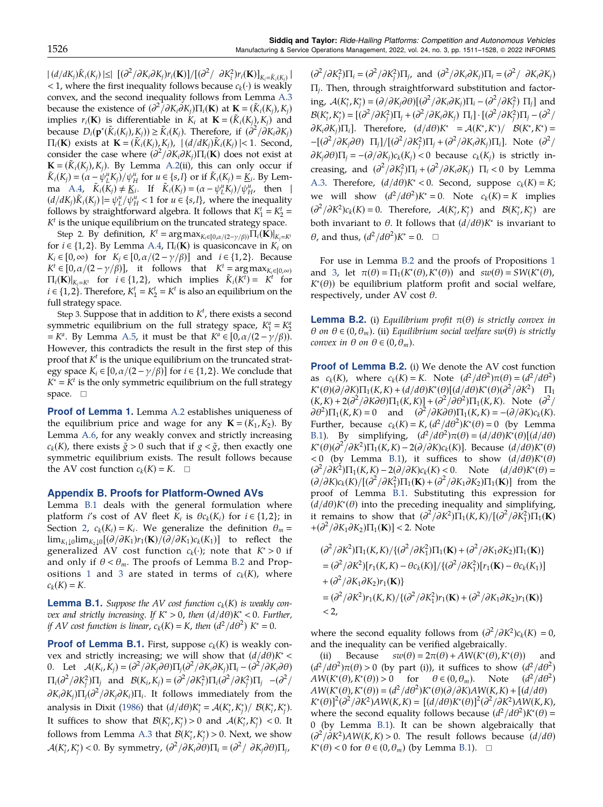<span id="page-16-0"></span> $|(d/dK_j)\tilde{K}_i(K_j)| \leq |[(\partial^2/\partial K_i\partial K_j)r_i(\mathbf{K})]/[(\partial^2/\partial K_i^2)r_i(\mathbf{K})]_{K_i=\tilde{K}_i(K_j)}|$ < 1, where the first inequality follows because  $c_k(\cdot)$  is weakly convex, and the second inequality follows from Lemma [A.3](#page-14-0) because the existence of  $\left(\frac{\partial^2}{\partial K_i \partial K_j}\right) \Pi_i(\mathbf{K})$  at  $\mathbf{K} = (\tilde{K}_i(K_j), K_j)$ implies  $r_i(\mathbf{K})$  is differentiable in  $K_i$  at  $\mathbf{K} = (\tilde{K}_i(K_i), K_i)$  and because  $D_i(\mathbf{p}^*(\tilde{K}_i(K_j), K_j)) \geq \tilde{K}_i(K_j)$ . Therefore, if  $(\partial^2/\partial K_i \partial K_j)$  $\Pi_i(\mathbf{K})$  exists at  $\mathbf{K} = (K_i(K_j), K_j)$ ,  $| (d/dK_j)K_i(K_j) | < 1$ . Second, consider the case where  $\left(\frac{\partial^2}{\partial K_i \partial K_j}\right) \prod_i (\mathbf{K})$  does not exist at  $\mathbf{K} = (\tilde{K}_i(K_i), K_i)$ . By Lemma [A.2](#page-14-0)(ii), this can only occur if  $\tilde{K}_i(K_j) = (\alpha - \psi_L^u K_j)/\psi_H^u$  for  $u \in \{s, l\}$  or if  $\tilde{K}_i(K_j) = \underline{K}_i$ . By Lem-ma [A.4,](#page-15-0)  $\tilde{K}_i(\tilde{K}_j) \neq \underline{\tilde{K}}_i$ . If  $\tilde{K}_i(K_j) = (\alpha - \psi_L^u \tilde{K}_j)/\psi_H^u$ , then |  $(d/dK_j)\tilde{K}_i(K_j)$   $\mid = \psi_L^u / \psi_H^u < 1$  for  $u \in \{s, l\}$ , where the inequality follows by straightforward algebra. It follows that  $K_1^t = K_2^t =$  $K<sup>t</sup>$  is the unique equilibrium on the truncated strategy space.

Step 2. By definition,  $K^t = \arg \max_{K_i \in [0, \alpha/(2-\gamma/\beta))} \prod_i (\mathbf{K})|_{K_i = K^t}$ for  $i \in \{1, 2\}$ . By Lemma [A.4,](#page-15-0)  $\Pi_i(\mathbf{K})$  is quasiconcave in  $K_i$  on  $K_i \in [0,\infty)$  for  $K_j \in [0, \alpha/(2 - \gamma/\beta)]$  and  $i \in \{1,2\}$ . Because  $K^t \in [0, \alpha/(2 - \gamma/\beta)]$ , it follows that  $K^t = \arg \max_{K_i \in [0,\infty)}$  $\Pi_i(\mathbf{K})|_{K_i=K^t}$  for  $i \in \{1,2\}$ , which implies  $\tilde{K}_i(K^t) = K^t$  for  $i \in \{1,2\}$ . Therefore,  $K_1^t = K_2^t = K^t$  is also an equilibrium on the full strategy space.

Step 3. Suppose that in addition to  $K<sup>t</sup>$ , there exists a second symmetric equilibrium on the full strategy space,  $K_1^a = K_2^a$ =  $K^a$ . By Lemma [A.5,](#page-15-0) it must be that  $K^a \in [0, \alpha/(2 - \gamma/\beta))$ . However, this contradicts the result in the first step of this proof that  $K<sup>t</sup>$  is the unique equilibrium on the truncated strategy space  $K_i \in [0, \alpha/(2 - \gamma/\beta)]$  for  $i \in \{1, 2\}$ . We conclude that  $K^* = K^t$  is the only symmetric equilibrium on the full strategy space.  $\square$ 

Proof of Lemma 1. Lemma [A.2](#page-14-0) establishes uniqueness of the equilibrium price and wage for any  $\mathbf{K} = (K_1, K_2)$ . By Lemma [A.6,](#page-15-0) for any weakly convex and strictly increasing  $c_k(K)$ , there exists  $\tilde{g} > 0$  such that if  $g < \tilde{g}$ , then exactly one symmetric equilibrium exists. The result follows because the AV cost function  $c_k(K) = K$ .  $\Box$ 

#### Appendix B. Proofs for Platform-Owned AVs

Lemma B.1 deals with the general formulation where platform *i*'s cost of AV fleet  $K_i$  is  $\theta c_k(K_i)$  for  $i \in \{1,2\}$ ; in Section [2](#page-3-0),  $c_k(K_i) = K_i$ . We generalize the definition  $\theta_m =$  $\lim_{K_1\downarrow 0}$  $\lim_{K_2\downarrow 0}$ [ $(\partial/\partial K_1)r_1(K)/(\partial/\partial K_1)c_k(K_1)$ ] to reflect the generalized AV cost function  $c_k(\cdot)$ ; note that  $K^* > 0$  if and only if  $\theta < \theta_m$ . The proofs of Lemma B.2 and Prop-ositions [1](#page-5-0) and [3](#page-7-0) are stated in terms of  $c_k(K)$ , where  $c_k(K) = K.$ 

**Lemma B.1.** Suppose the AV cost function  $c_k(K)$  is weakly convex and strictly increasing. If  $K^* > 0$ , then  $(d/d\theta)K^* < 0$ . Further, if AV cost function is linear,  $c_k(K) = K$ , then  $(d^2/d\theta^2) K^* = 0$ .

**Proof of Lemma B.1.** First, suppose  $c_k(K)$  is weakly convex and strictly increasing; we will show that  $(d/d\theta)K^*$  < 0. Let  $\mathcal{A}(K_i, K_j) = (\partial^2/\partial K_j \partial \theta) \Pi_j(\partial^2/\partial K_i \partial K_j) \Pi_i - (\partial^2/\partial K_i \partial \theta)$  $\Pi_i(\partial^2/\partial K_j^2)\Pi_j$  and  $\mathcal{B}(K_i, K_j) = (\partial^2/\partial K_i^2)\Pi_i(\partial^2/\partial K_j^2)\Pi_j$  –( $\partial^2/\partial K_j^2$ )  $\partial K_i \partial K_j$ ) $\Pi_j(\partial^2/\partial K_j \partial K_i)$  $\Pi_i$ . It follows immediately from the analysis in Dixit [\(1986](#page-18-0)) that  $(d/d\theta)K_i^* = \mathcal{A}(K_i^*,K_j^*)/\mathcal{B}(K_i^*,K_j^*).$ It suffices to show that  $\mathcal{B}(K_i^*, K_j^*) > 0$  and  $\mathcal{A}(K_i^*, K_j^*) < 0$ . It follows from Lemma [A.3](#page-14-0) that  $\mathcal{B}(K_i^*, K_j^*) > 0$ . Next, we show  $\mathcal{A}(K_i^*, K_j^*) < 0$ . By symmetry,  $(\partial^2/\partial K_i \partial \theta) \Pi_i = (\partial^2/\partial K_j \partial \theta) \Pi_j$ 

 $(\partial^2/\partial K_i^2)\Pi_i = (\partial^2/\partial K_j^2)\Pi_j$ , and  $(\partial^2/\partial K_i\partial K_j)\Pi_i = (\partial^2/\partial K_i\partial K_j)$ Πj. Then, through straightforward substitution and factoring,  $A(K_i^*, K_j^*) = (\partial/\partial K_j \partial \theta) [(\partial^2/\partial K_i \partial K_j) \Pi_i - (\partial^2/\partial K_j^2) \Pi_j]$  and  $\mathcal{B}(K_i^*, K_j^*) = [(\partial^2/\partial K_j^2)\Pi_j + (\partial^2/\partial K_i\partial K_j)\Pi_i] \cdot [(\partial^2/\partial K_j^2)\Pi_j - (\partial^2/\partial K_j^2)\Pi_j]$  $\partial K_i \partial K_j \Pi_i$ ]. Therefore,  $(d/d\theta)K^* = \mathcal{A}(K^*,K^*)/\mathcal{B}(K^*,K^*) =$  $-[ (\partial^2/\partial K_j \partial \theta) \ \Pi_j ] / [ (\partial^2/\partial K_j^2) \Pi_j + (\partial^2/\partial K_i \partial K_j) \Pi_i ].$  Note  $(\partial^2/\partial K_j \partial \theta)$  $\partial K_i \partial \theta$ ) $\Pi_i = -(\partial/\partial K_i)c_k(K_i)$  < 0 because  $c_k(K_i)$  is strictly increasing, and  $(\partial^2/\partial K_i^2)\Pi_j + (\partial^2/\partial K_i\partial K_j)$   $\Pi_i < 0$  by Lemma [A.3](#page-14-0). Therefore,  $(d/d\theta)K^* < 0$ . Second, suppose  $c_k(K) = K$ ; we will show  $(d^2/d\theta^2)K^* = 0$ . Note  $c_k(K) = K$  implies  $(\partial^2/\partial K^2)c_k(K) = 0$ . Therefore,  $\mathcal{A}(K_i^*, K_j^*)$  and  $\mathcal{B}(K_i^*, K_j^*)$  are both invariant to  $\theta$ . It follows that  $(d/d\theta)K^*$  is invariant to  $\theta$ , and thus,  $(d^2/d\theta^2)K^* = 0$ .  $\Box$ 

For use in Lemma B.2 and the proofs of Propositions [1](#page-17-0) and [3,](#page-17-0) let  $\pi(\theta) = \Pi_1(K^*(\theta), K^*(\theta))$  and  $sw(\theta) = SW(K^*(\theta)),$ K∗ (θ)) be equilibrium platform profit and social welfare, respectively, under AV cost  $\theta$ .

**Lemma B.2.** (i) Equilibrium profit  $\pi(\theta)$  is strictly convex in  $θ$  on  $θ ∈ (0, θ<sub>m</sub>)$ . (ii) Equilibrium social welfare sw( $θ$ ) is strictly convex in  $\theta$  on  $\theta \in (0, \theta_m)$ .

Proof of Lemma B.2. (i) We denote the AV cost function as  $c_k(K)$ , where  $c_k(K) = K$ . Note  $(d^2/d\theta^2)\pi(\theta) = (d^2/d\theta^2)$  $K^*(\theta)(\partial/\partial K)\Pi_1(K,K) + (d/d\theta)K^*(\theta)[(d/d\theta)K^*(\theta)(\partial^2/\partial K^2)$   $\Pi_1$  $(K,K) + 2(\partial^2/\partial K \partial \theta) \Pi_1(K,K) + (\partial^2/\partial \theta^2) \Pi_1(K,K)$ . Note  $(\partial^2/\partial K \partial \theta)$  $\partial \theta^2$ ) $\Pi_1(K,K) = 0$  and  $(\partial^2/\partial K \partial \theta) \Pi_1(K,K) = -(\partial/\partial K)c_k(K)$ . Further, because  $c_k(K) = K$ ,  $\left(\frac{d^2}{d\theta^2}\right)K^*(\theta) = 0$  (by Lemma B.1). By simplifying,  $(d^2/d\theta^2)\pi(\theta) = (d/d\theta)K^*(\theta)[(d/d\theta)]$  $K^*(\theta)(\partial^2/\partial K^2)\Pi_1(K,K) - 2(\partial/\partial K)c_k(K)$ ]. Because  $(d/d\theta)K^*(\theta)$  $<0$  (by Lemma B.1), it suffices to show  $(d/d\theta)K^*(\theta)$  $(\partial^2/\partial K^2)\Pi_1(K,K) - 2(\partial/\partial K)c_k(K) < 0.$  Note  $(d/d\theta)K^*(\theta) =$  $(\partial/\partial K)c_k(K)/[(\partial^2/\partial K_1^2)\Pi_1(K)+(\partial^2/\partial K_1\partial K_2)\Pi_1(K)]$  from the proof of Lemma B.1. Substituting this expression for  $(d/d\theta)K^*(\theta)$  into the preceding inequality and simplifying, it remains to show that  $\left(\frac{\partial^2}{\partial K^2}\right)\Pi_1(K,K)/\left[\frac{\partial^2}{\partial K_1^2}\right]\Pi_1(K)$  $+(\partial^2/\partial K_1 \partial K_2)\Pi_1(\mathbf{K})] < 2$ . Note

$$
(\partial^2/\partial K^2)\Pi_1(K,K)/\{(\partial^2/\partial K_1^2)\Pi_1(\mathbf{K}) + (\partial^2/\partial K_1\partial K_2)\Pi_1(\mathbf{K})\}
$$
  
= 
$$
(\partial^2/\partial K^2)[r_1(K,K) - \theta c_k(K)]/\{(\partial^2/\partial K_1^2)[r_1(\mathbf{K}) - \theta c_k(K_1)]
$$
  
+ 
$$
(\partial^2/\partial K_1\partial K_2)r_1(\mathbf{K})\}
$$
  
= 
$$
(\partial^2/\partial K^2)r_1(K,K)/\{(\partial^2/\partial K_1^2)r_1(\mathbf{K}) + (\partial^2/\partial K_1\partial K_2)r_1(\mathbf{K})\}
$$
  
< 2,

where the second equality follows from  $\left(\frac{\partial^2}{\partial K^2}\right) c_k(K) = 0$ , and the inequality can be verified algebraically.

(ii) Because  $sw(\theta) = 2\pi(\theta) + AW(K^*(\theta), K^*(\theta))$  and  $(d^2/d\theta^2)\pi(\theta) > 0$  (by part (i)), it suffices to show  $(d^2/d\theta^2)$  $AW(K^*(\theta), K^*(\theta)) > 0$  for  $\theta \in (0, \theta_m)$ . Note  $(d^2/d\theta^2)$  $AW(K^*(\theta), K^*(\theta)) = (d^2/d\theta^2)K^*(\theta)(\partial/\partial K)A W(K,K) + [(d/d\theta)$  $K^*(\theta)^2 (\partial^2/\partial K^2) AW(K,K) = [(d/d\theta)K^*(\theta)]^2 (\partial^2/\partial K^2) AW(K,K),$ where the second equality follows because  $(d^2/d\theta^2)K^*(\theta)$  = 0 (by Lemma B.1). It can be shown algebraically that  $\left(\frac{\partial^2}{\partial K^2}\right)AW(K,K) > 0$ . The result follows because  $\left(\frac{d}{d\theta}\right)$  $K^*(\theta) < 0$  for  $\theta \in (0, \theta_m)$  (by Lemma B.1). □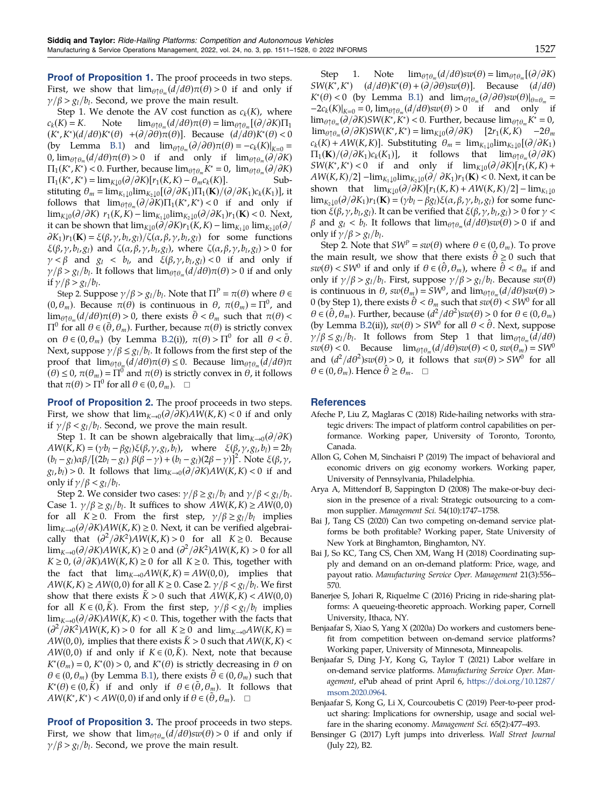<span id="page-17-0"></span>Proof of Proposition 1. The proof proceeds in two steps. First, we show that  $\lim_{\theta \uparrow \theta_m} (d/d\theta) \pi(\theta) > 0$  if and only if  $\gamma/\beta > g_l/b_l$ . Second, we prove the main result.

Step 1. We denote the AV cost function as  $c_k(K)$ , where  $c_k(K) = K$ . Note  $\lim_{\theta \uparrow \theta_m}(d/d\theta) \pi(\theta) = \lim_{\theta \uparrow \theta_m} [(\partial/\partial K)\Pi_1]$  $\lim_{\theta \uparrow \theta_m} (d/d\theta) \pi(\theta) = \lim_{\theta \uparrow \theta_m} [(\partial/\partial K)\Pi_1]$  $(K^*, K^*)(d/d\theta)K^*(\theta)$  +( $\partial/\partial\theta$ ) $\pi(\theta)$ ]. Because  $(d/d\theta)K^*(\theta)$  < 0 (by Lemma [B.1\)](#page-16-0) and  $\lim_{\theta \uparrow \theta_m} (\partial/\partial \theta) \pi(\theta) = -c_k(K)|_{K=0}$ 0,  $\lim_{\theta \uparrow \theta_m} \frac{d}{d\theta} \pi(\theta) > 0$  if and only if  $\lim_{\theta \uparrow \theta_m} \frac{d}{dX}$  $\Pi_1(K^*, K^*) < 0$ . Further, because  $\lim_{\theta \uparrow \theta_m} K^* = 0$ ,  $\lim_{\theta \uparrow \theta_m} (\partial / \partial K)$  $\Pi_1(K^*, K^*) = \lim_{K \downarrow 0} (\partial / \partial K) [r_1(K, K) - \theta_m c_k(K)].$  Substituting  $\theta_m = \lim_{K_1 \downarrow 0} \lim_{K_2 \downarrow 0} [(\partial/\partial K_1)\Pi_1(\mathbf{K})/(\partial/\partial K_1)c_k(K_1)],$  it follows that  $\lim_{\theta \uparrow \theta_m} (\partial / \partial K) \Pi_1(K^*, K^*) < 0$  if and only if  $\lim_{K\downarrow 0}$ ( $\partial/\partial K$ )  $r_1(K,K)$  –  $\lim_{K\downarrow 0}$  $\lim_{K\downarrow 0}$ ( $\partial/\partial K_1$ ) $r_1(K)$  < 0. Next, it can be shown that  $\lim_{K\downarrow 0} (\partial/\partial K)r_1(K,K) - \lim_{K\downarrow 10} \lim_{K\downarrow 0} (\partial/\partial K)r_1(K,K)$  $\partial K_1$ ) $r_1(\mathbf{K}) = \xi(\beta, \gamma, b_l, g_l) / \zeta(\alpha, \beta, \gamma, b_l, g_l)$  for some functions  $\xi(\beta, \gamma, b_l, g_l)$  and  $\zeta(\alpha, \beta, \gamma, b_l, g_l)$ , where  $\zeta(\alpha, \beta, \gamma, b_l, g_l) > 0$  for  $\gamma < \beta$  and  $g_l < b_l$ , and  $\xi(\beta, \gamma, b_l, g_l) < 0$  if and only if  $\gamma/\beta > g_l/b_l$ . It follows that  $\lim_{\theta \uparrow \theta_m} (d/d\theta)\pi(\theta) > 0$  if and only if  $\gamma/\beta > g_l/b_l$ .

Step 2. Suppose  $\gamma/\beta > g_l/b_l$ . Note that  $\Pi^P = \pi(\theta)$  where  $\theta \in$  $(0, \theta_m)$ . Because  $\pi(\theta)$  is continuous in  $\theta$ ,  $\pi(\theta_m) = \Pi^0$ , and  $\lim_{\theta \uparrow \theta_m} (d/d\theta) \pi(\theta) > 0$ , there exists  $\bar{\theta} < \theta_m$  such that  $\pi(\theta) <$  $\Pi^0$  for all  $\theta \in (\bar{\theta}, \theta_m)$ . Further, because  $\pi(\theta)$  is strictly convex on  $\theta \in (0, \theta_m)$  (by Lemma [B.2\(](#page-16-0)i)),  $\pi(\theta) > \Pi^0$  for all  $\theta < \bar{\theta}$ . Next, suppose  $\gamma/\beta \leq g_l/b_l$ . It follows from the first step of the proof that  $\lim_{\theta \uparrow \theta_m} (d/d\theta) \pi(\theta) \leq 0$ . Because  $\lim_{\theta \uparrow \theta_m} (d/d\theta) \pi$  $(\theta) \leq 0$ ,  $\pi(\theta_m) = \Pi^0$  and  $\pi(\theta)$  is strictly convex in  $\theta$ , it follows that  $\pi(\theta) > \Pi^0$  for all  $\theta \in (0, \theta_m)$ .  $\Box$ 

**Proof of Proposition 2.** The proof proceeds in two steps. First, we show that  $\lim_{K\to 0} (\partial/\partial K)AW(K,K) < 0$  if and only if  $\gamma/\beta < g_l/b_l$ . Second, we prove the main result.

Step 1. It can be shown algebraically that  $\lim_{K\to 0}$  ( $\partial/\partial K$ )  $AW(K, K) = (\gamma b_l - \beta g_l)\xi(\beta, \gamma, g_l, b_l)$ , where  $\xi(\beta, \gamma, g_l, b_l) = 2b_l$  $(b_l - g_l)\alpha\beta/[(2b_l - g_l)\beta(\beta - \gamma) + (b_l - g_l)(2\beta - \gamma)]^2$ . Note  $\xi(\beta, \gamma, \gamma)$  $g_l, b_l$ ) > 0. It follows that  $\lim_{K\to 0} (\partial/\partial K)AW(K,K) < 0$  if and only if  $\gamma/\beta < g_l/b_l$ .

Step 2. We consider two cases:  $\gamma/\beta \ge g_l/b_l$  and  $\gamma/\beta < g_l/b_l$ . Case 1.  $\gamma/\beta \ge g_l/b_l$ . It suffices to show  $AW(K,K) \ge AW(0, 0)$ for all  $K \ge 0$ . From the first step,  $\gamma/\beta \ge g_l/b_l$  implies lim<sub>K→0</sub>( $\partial/\partial K$ )AW(K,K) ≥ 0. Next, it can be verified algebraically that  $\left(\frac{\partial^2}{\partial K^2}\right)AW(K,K) > 0$  for all  $K \ge 0$ . Because  $\lim_{K\to 0} (\partial/\partial K)AW(K,K) \ge 0$  and  $(\partial^2/\partial K^2)AW(K,K) > 0$  for all  $K \geq 0$ ,  $\left(\frac{\partial}{\partial K}\right)AW(K,K) \geq 0$  for all  $K \geq 0$ . This, together with the fact that  $\lim_{K\to 0} AW(K,K) = AW(0,0)$ , implies that  $AW(K,K) \geq AW(0,0)$  for all  $K \geq 0$ . Case 2.  $\gamma/\beta < g_l/b_l$ . We first show that there exists  $\bar{K} > 0$  such that  $AW(K,K) < AW(0,0)$ for all  $K \in (0,\bar{K})$ . From the first step,  $\gamma/\beta < g_l/b_l$  implies lim<sub>K→0</sub>( $\partial/\partial K$ )AW(K, K) < 0. This, together with the facts that  $\left(\frac{\partial^2}{\partial K^2}\right)AW(K,K) > 0$  for all  $K \ge 0$  and  $\lim_{K \to 0} AW(K,K) =$  $AW(0,0)$ , implies that there exists  $K > 0$  such that  $AW(K,K) <$  $AW(0,0)$  if and only if  $K \in (0,K)$ . Next, note that because  $K^*(\theta_m) = 0$ ,  $K^*(0) > 0$ , and  $K^*(\theta)$  is strictly decreasing in  $\theta$  on  $\theta \in (0, \theta_m)$  (by Lemma [B.1\)](#page-16-0), there exists  $\theta \in (0, \theta_m)$  such that  $K^*(\theta) \in (0,\bar{K})$  if and only if  $\theta \in (\tilde{\theta}, \theta_m)$ . It follows that  $AW(K^*, K^*) < AW(0, 0)$  if and only if  $\theta \in (\tilde{\theta}, \theta_m)$ .  $\square$ 

**Proof of Proposition 3.** The proof proceeds in two steps. First, we show that  $\lim_{\theta \uparrow \theta_m} (d/d\theta)sw(\theta) > 0$  if and only if  $\gamma/\beta > g_l/b_l$ . Second, we prove the main result.

Step 1. Note  $\lim_{\theta \uparrow \theta_{\text{m}}}(d/d\theta)sw(\theta) = \lim_{\theta \uparrow \theta_{\text{m}}} [(\partial/\partial K)]$  $SW(K^*, K^*)$   $(d/d\theta)K^*(\theta) + (\partial/\partial\theta)sw(\theta)$ ]. Because  $(d/d\theta)$  $K^*(\theta) < 0$  (by Lemma [B.1\)](#page-16-0) and  $\lim_{\theta \uparrow \theta_m} (\partial/\partial \theta) s w(\theta)|_{\theta = \theta_m} =$  $-2c_k(K)|_{K=0} = 0$ ,  $\lim_{\theta \uparrow \theta_m} (d/d\theta)sw(\theta) > 0$  if and only if  $\lim_{\theta \uparrow \theta_m} (\partial / \partial K)SW(K^*,K^*) < 0$ . Further, because  $\lim_{\theta \uparrow \theta_m} K^* = 0$ ,  $\lim_{\theta \uparrow \theta_m} (\partial / \partial K)SW(K^*, K^*) = \lim_{K \downarrow 0} (\partial / \partial K)$  [2r<sub>1</sub>(K,K) −2 $\theta_m$  $c_k(K) + AW(K,K)$ . Substituting  $\theta_m = \lim_{K_1 \downarrow 0} \lim_{K_2 \downarrow 0} [(\partial/\partial K_1)]$  $\Pi_1(\mathbf{K})/(\partial/\partial K_1)c_k(K_1)$ , it follows that  $\lim_{\theta \uparrow \theta_m} (\partial/\partial K)$  $SW(K^*, K^*)$  < 0 if and only if  $\lim_{K\downarrow 0} (\partial/\partial K)[r_1(K, K) +$  $AW(K,K)/2]$  –lim<sub>K<sub>1</sub>↓0</sub>lim<sub>K<sub>2</sub>↓0</sub>( $\partial / \partial K_1$ ) $r_1(K)$  < 0. Next, it can be shown that  $\lim_{K\downarrow 0}$  ( $\partial/\partial K$ )[ $r_1(K,K) + AW(K,K)/2$ ] –  $\lim_{K_1\downarrow 0}$ lim<sub>K<sub>2</sub>↓0</sub>( $\partial/\partial K_1$ )r<sub>1</sub>(**K**) = ( $\gamma b_l - \beta g_l$ ) $\xi(\alpha, \beta, \gamma, b_l, g_l)$  for some function  $\xi(\beta, \gamma, b_l, g_l)$ . It can be verified that  $\xi(\beta, \gamma, b_l, g_l) > 0$  for  $\gamma$  < β and  $g_l < b_l$ . It follows that  $\lim_{\theta \uparrow \theta_m}(d/d\theta)sw(\theta) > 0$  if and only if  $\gamma/\beta > g_l/b_l$ .

Step 2. Note that  $SW^P = sw(\theta)$  where  $\theta \in (0, \theta_m)$ . To prove the main result, we show that there exists  $\hat{\theta} \ge 0$  such that  $sw(\theta)$  < SW<sup>0</sup> if and only if  $\theta \in (\hat{\theta}, \theta_m)$ , where  $\hat{\theta} < \theta_m$  if and only if  $\gamma/\beta > g_l/b_l$ . First, suppose  $\gamma/\beta > g_l/b_l$ . Because  $sw(\theta)$ is continuous in  $\theta$ ,  $sw(\theta_m) = SW^0$ , and  $\lim_{\theta \uparrow \theta_m} (d/d\theta)sw(\theta)$  > 0 (by Step 1), there exists  $\hat{\theta} < \theta_m$  such that  $sw(\theta) < SW^0$  for all  $\theta \in (\hat{\theta}, \theta_m)$ . Further, because  $(d^2/d\theta^2)sw(\theta) > 0$  for  $\theta \in (0, \theta_m)$ (by Lemma [B.2\(](#page-16-0)ii)),  $sw(\theta) > SW^0$  for all  $\theta < \hat{\theta}$ . Next, suppose  $\gamma/\beta \leq g_l/b_l$ . It follows from Step 1 that  $\lim_{\theta \uparrow \theta_m} (d/d\theta)$  $sw(\theta) < 0$ . Because  $\lim_{\theta \uparrow \theta_{m}} (d/d\theta)sw(\theta) < 0$ ,  $sw(\theta_{m}) = SW^{0}$ and  $(d^2/d\theta^2)sw(\theta) > 0$ , it follows that  $sw(\theta) > SW^0$  for all  $\theta \in (0, \theta_m)$ . Hence  $\hat{\theta} \ge \theta_m$ .  $\Box$ 

#### **References**

- Afeche P, Liu Z, Maglaras C (2018) Ride-hailing networks with strategic drivers: The impact of platform control capabilities on performance. Working paper, University of Toronto, Toronto, Canada.
- Allon G, Cohen M, Sinchaisri P (2019) The impact of behavioral and economic drivers on gig economy workers. Working paper, University of Pennsylvania, Philadelphia.
- Arya A, Mittendorf B, Sappington D (2008) The make-or-buy decision in the presence of a rival: Strategic outsourcing to a common supplier. Management Sci. 54(10):1747-1758.
- Bai J, Tang CS (2020) Can two competing on-demand service platforms be both profitable? Working paper, State University of New York at Binghamton, Binghamton, NY.
- Bai J, So KC, Tang CS, Chen XM, Wang H (2018) Coordinating supply and demand on an on-demand platform: Price, wage, and payout ratio. Manufacturing Service Oper. Management 21(3):556– 570.
- Banerjee S, Johari R, Riquelme C (2016) Pricing in ride-sharing platforms: A queueing-theoretic approach. Working paper, Cornell University, Ithaca, NY.
- Benjaafar S, Xiao S, Yang X (2020a) Do workers and customers benefit from competition between on-demand service platforms? Working paper, University of Minnesota, Minneapolis.
- Benjaafar S, Ding J-Y, Kong G, Taylor T (2021) Labor welfare in on-demand service platforms. Manufacturing Service Oper. Management, ePub ahead of print April 6, [https://doi.org/10.1287/](https://doi.org/10.1287/msom.2020.0964) [msom.2020.0964](https://doi.org/10.1287/msom.2020.0964).
- Benjaafar S, Kong G, Li X, Courcoubetis C (2019) Peer-to-peer product sharing: Implications for ownership, usage and social welfare in the sharing economy. Management Sci. 65(2):477-493.
- Bensinger G (2017) Lyft jumps into driverless. Wall Street Journal (July 22), B2.